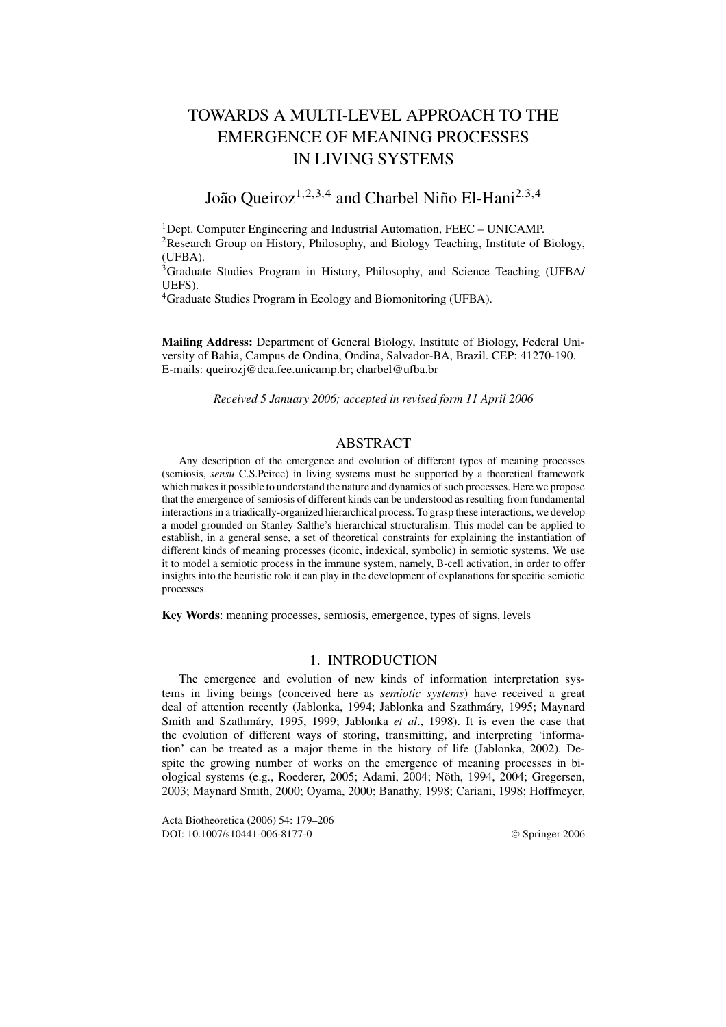# TOWARDS A MULTI-LEVEL APPROACH TO THE EMERGENCE OF MEANING PROCESSES IN LIVING SYSTEMS

João Queiroz<sup>1,2,3,4</sup> and Charbel Niño El-Hani<sup>2,3,4</sup>

<sup>1</sup>Dept. Computer Engineering and Industrial Automation, FEEC – UNICAMP. 2Research Group on History, Philosophy, and Biology Teaching, Institute of Biology, (UFBA).

3Graduate Studies Program in History, Philosophy, and Science Teaching (UFBA/ UEFS).

4Graduate Studies Program in Ecology and Biomonitoring (UFBA).

**Mailing Address:** Department of General Biology, Institute of Biology, Federal University of Bahia, Campus de Ondina, Ondina, Salvador-BA, Brazil. CEP: 41270-190. E-mails: queirozj@dca.fee.unicamp.br; charbel@ufba.br

*Received 5 January 2006; accepted in revised form 11 April 2006*

# ABSTRACT

Any description of the emergence and evolution of different types of meaning processes (semiosis, *sensu* C.S.Peirce) in living systems must be supported by a theoretical framework which makes it possible to understand the nature and dynamics of such processes. Here we propose that the emergence of semiosis of different kinds can be understood as resulting from fundamental interactions in a triadically-organized hierarchical process. To grasp these interactions, we develop a model grounded on Stanley Salthe's hierarchical structuralism. This model can be applied to establish, in a general sense, a set of theoretical constraints for explaining the instantiation of different kinds of meaning processes (iconic, indexical, symbolic) in semiotic systems. We use it to model a semiotic process in the immune system, namely, B-cell activation, in order to offer insights into the heuristic role it can play in the development of explanations for specific semiotic processes.

**Key Words**: meaning processes, semiosis, emergence, types of signs, levels

## 1. INTRODUCTION

The emergence and evolution of new kinds of information interpretation systems in living beings (conceived here as *semiotic systems*) have received a great deal of attention recently (Jablonka, 1994; Jablonka and Szathmáry, 1995; Maynard Smith and Szathmáry, 1995, 1999; Jablonka et al., 1998). It is even the case that the evolution of different ways of storing, transmitting, and interpreting 'information' can be treated as a major theme in the history of life (Jablonka, 2002). Despite the growing number of works on the emergence of meaning processes in biological systems (e.g., Roederer, 2005; Adami, 2004; Nöth, 1994, 2004; Gregersen, 2003; Maynard Smith, 2000; Oyama, 2000; Banathy, 1998; Cariani, 1998; Hoffmeyer,

Acta Biotheoretica (2006) 54: 179–206 DOI: 10.1007/s10441-006-8177-0 -

<sup>C</sup> Springer 2006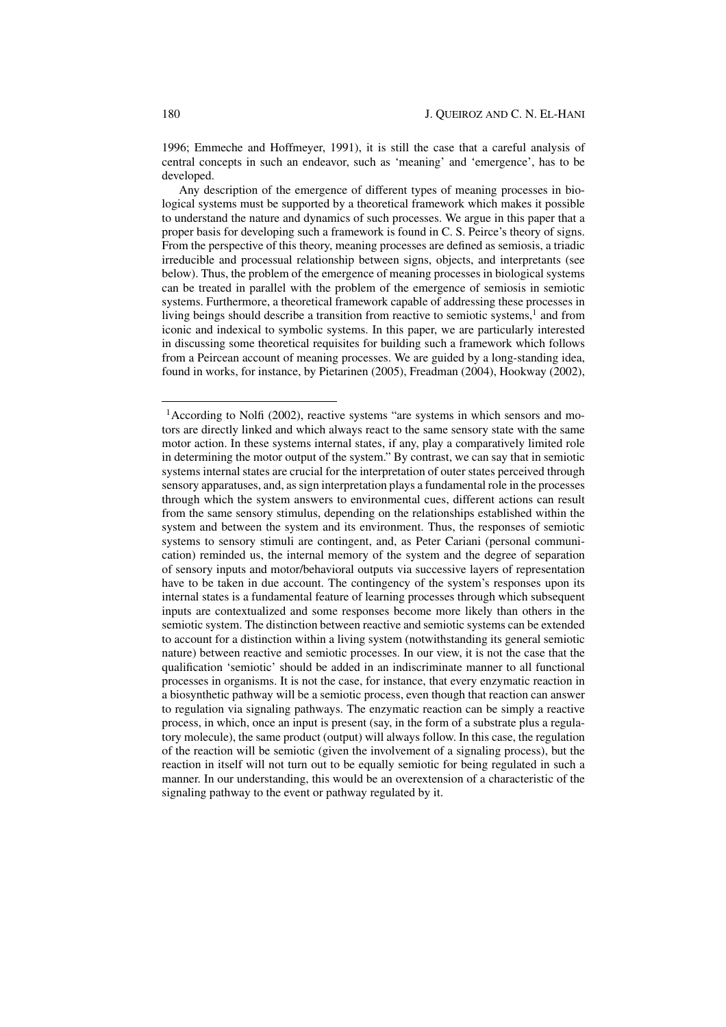1996; Emmeche and Hoffmeyer, 1991), it is still the case that a careful analysis of central concepts in such an endeavor, such as 'meaning' and 'emergence', has to be developed.

Any description of the emergence of different types of meaning processes in biological systems must be supported by a theoretical framework which makes it possible to understand the nature and dynamics of such processes. We argue in this paper that a proper basis for developing such a framework is found in C. S. Peirce's theory of signs. From the perspective of this theory, meaning processes are defined as semiosis, a triadic irreducible and processual relationship between signs, objects, and interpretants (see below). Thus, the problem of the emergence of meaning processes in biological systems can be treated in parallel with the problem of the emergence of semiosis in semiotic systems. Furthermore, a theoretical framework capable of addressing these processes in living beings should describe a transition from reactive to semiotic systems,<sup>1</sup> and from iconic and indexical to symbolic systems. In this paper, we are particularly interested in discussing some theoretical requisites for building such a framework which follows from a Peircean account of meaning processes. We are guided by a long-standing idea, found in works, for instance, by Pietarinen (2005), Freadman (2004), Hookway (2002),

<sup>&</sup>lt;sup>1</sup> According to Nolfi (2002), reactive systems "are systems in which sensors and motors are directly linked and which always react to the same sensory state with the same motor action. In these systems internal states, if any, play a comparatively limited role in determining the motor output of the system." By contrast, we can say that in semiotic systems internal states are crucial for the interpretation of outer states perceived through sensory apparatuses, and, as sign interpretation plays a fundamental role in the processes through which the system answers to environmental cues, different actions can result from the same sensory stimulus, depending on the relationships established within the system and between the system and its environment. Thus, the responses of semiotic systems to sensory stimuli are contingent, and, as Peter Cariani (personal communication) reminded us, the internal memory of the system and the degree of separation of sensory inputs and motor/behavioral outputs via successive layers of representation have to be taken in due account. The contingency of the system's responses upon its internal states is a fundamental feature of learning processes through which subsequent inputs are contextualized and some responses become more likely than others in the semiotic system. The distinction between reactive and semiotic systems can be extended to account for a distinction within a living system (notwithstanding its general semiotic nature) between reactive and semiotic processes. In our view, it is not the case that the qualification 'semiotic' should be added in an indiscriminate manner to all functional processes in organisms. It is not the case, for instance, that every enzymatic reaction in a biosynthetic pathway will be a semiotic process, even though that reaction can answer to regulation via signaling pathways. The enzymatic reaction can be simply a reactive process, in which, once an input is present (say, in the form of a substrate plus a regulatory molecule), the same product (output) will always follow. In this case, the regulation of the reaction will be semiotic (given the involvement of a signaling process), but the reaction in itself will not turn out to be equally semiotic for being regulated in such a manner. In our understanding, this would be an overextension of a characteristic of the signaling pathway to the event or pathway regulated by it.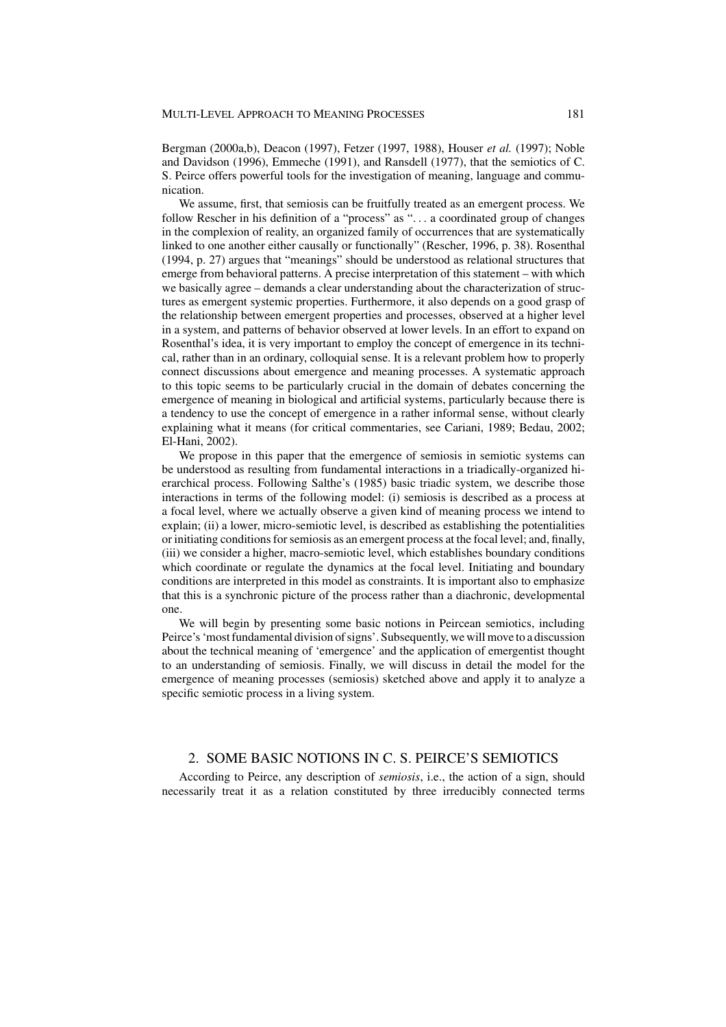Bergman (2000a,b), Deacon (1997), Fetzer (1997, 1988), Houser *et al.* (1997); Noble and Davidson (1996), Emmeche (1991), and Ransdell (1977), that the semiotics of C. S. Peirce offers powerful tools for the investigation of meaning, language and communication.

We assume, first, that semiosis can be fruitfully treated as an emergent process. We follow Rescher in his definition of a "process" as "... a coordinated group of changes in the complexion of reality, an organized family of occurrences that are systematically linked to one another either causally or functionally" (Rescher, 1996, p. 38). Rosenthal (1994, p. 27) argues that "meanings" should be understood as relational structures that emerge from behavioral patterns. A precise interpretation of this statement – with which we basically agree – demands a clear understanding about the characterization of structures as emergent systemic properties. Furthermore, it also depends on a good grasp of the relationship between emergent properties and processes, observed at a higher level in a system, and patterns of behavior observed at lower levels. In an effort to expand on Rosenthal's idea, it is very important to employ the concept of emergence in its technical, rather than in an ordinary, colloquial sense. It is a relevant problem how to properly connect discussions about emergence and meaning processes. A systematic approach to this topic seems to be particularly crucial in the domain of debates concerning the emergence of meaning in biological and artificial systems, particularly because there is a tendency to use the concept of emergence in a rather informal sense, without clearly explaining what it means (for critical commentaries, see Cariani, 1989; Bedau, 2002; El-Hani, 2002).

We propose in this paper that the emergence of semiosis in semiotic systems can be understood as resulting from fundamental interactions in a triadically-organized hierarchical process. Following Salthe's (1985) basic triadic system, we describe those interactions in terms of the following model: (i) semiosis is described as a process at a focal level, where we actually observe a given kind of meaning process we intend to explain; (ii) a lower, micro-semiotic level, is described as establishing the potentialities or initiating conditions for semiosis as an emergent process at the focal level; and, finally, (iii) we consider a higher, macro-semiotic level, which establishes boundary conditions which coordinate or regulate the dynamics at the focal level. Initiating and boundary conditions are interpreted in this model as constraints. It is important also to emphasize that this is a synchronic picture of the process rather than a diachronic, developmental one.

We will begin by presenting some basic notions in Peircean semiotics, including Peirce's 'most fundamental division of signs'. Subsequently, we will move to a discussion about the technical meaning of 'emergence' and the application of emergentist thought to an understanding of semiosis. Finally, we will discuss in detail the model for the emergence of meaning processes (semiosis) sketched above and apply it to analyze a specific semiotic process in a living system.

## 2. SOME BASIC NOTIONS IN C. S. PEIRCE'S SEMIOTICS

According to Peirce, any description of *semiosis*, i.e., the action of a sign, should necessarily treat it as a relation constituted by three irreducibly connected terms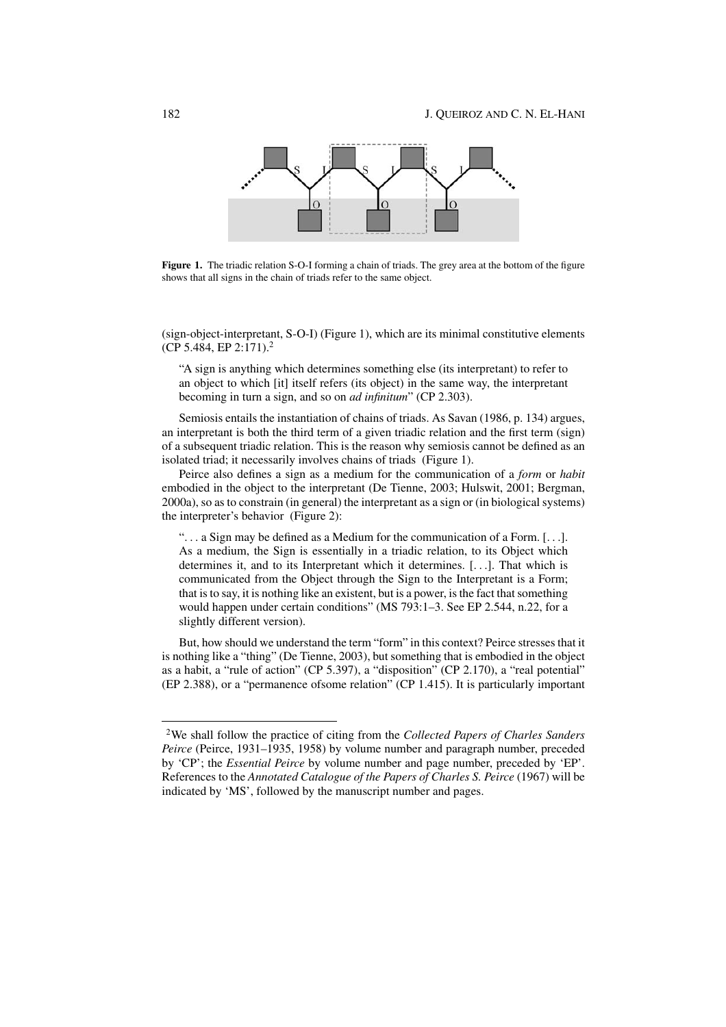

**Figure 1.** The triadic relation S-O-I forming a chain of triads. The grey area at the bottom of the figure shows that all signs in the chain of triads refer to the same object.

(sign-object-interpretant, S-O-I) (Figure 1), which are its minimal constitutive elements (CP 5.484, EP 2:171).<sup>2</sup>

"A sign is anything which determines something else (its interpretant) to refer to an object to which [it] itself refers (its object) in the same way, the interpretant becoming in turn a sign, and so on *ad infinitum*" (CP 2.303).

Semiosis entails the instantiation of chains of triads. As Savan (1986, p. 134) argues, an interpretant is both the third term of a given triadic relation and the first term (sign) of a subsequent triadic relation. This is the reason why semiosis cannot be defined as an isolated triad; it necessarily involves chains of triads (Figure 1).

Peirce also defines a sign as a medium for the communication of a *form* or *habit* embodied in the object to the interpretant (De Tienne, 2003; Hulswit, 2001; Bergman, 2000a), so as to constrain (in general) the interpretant as a sign or (in biological systems) the interpreter's behavior (Figure 2):

"... a Sign may be defined as a Medium for the communication of a Form. [...]. As a medium, the Sign is essentially in a triadic relation, to its Object which determines it, and to its Interpretant which it determines. [...]. That which is communicated from the Object through the Sign to the Interpretant is a Form; that is to say, it is nothing like an existent, but is a power, is the fact that something would happen under certain conditions" (MS 793:1–3. See EP 2.544, n.22, for a slightly different version).

But, how should we understand the term "form" in this context? Peirce stresses that it is nothing like a "thing" (De Tienne, 2003), but something that is embodied in the object as a habit, a "rule of action" (CP 5.397), a "disposition" (CP 2.170), a "real potential" (EP 2.388), or a "permanence ofsome relation" (CP 1.415). It is particularly important

<sup>2</sup>We shall follow the practice of citing from the *Collected Papers of Charles Sanders Peirce* (Peirce, 1931–1935, 1958) by volume number and paragraph number, preceded by 'CP'; the *Essential Peirce* by volume number and page number, preceded by 'EP'. References to the *Annotated Catalogue of the Papers of Charles S. Peirce* (1967) will be indicated by 'MS', followed by the manuscript number and pages.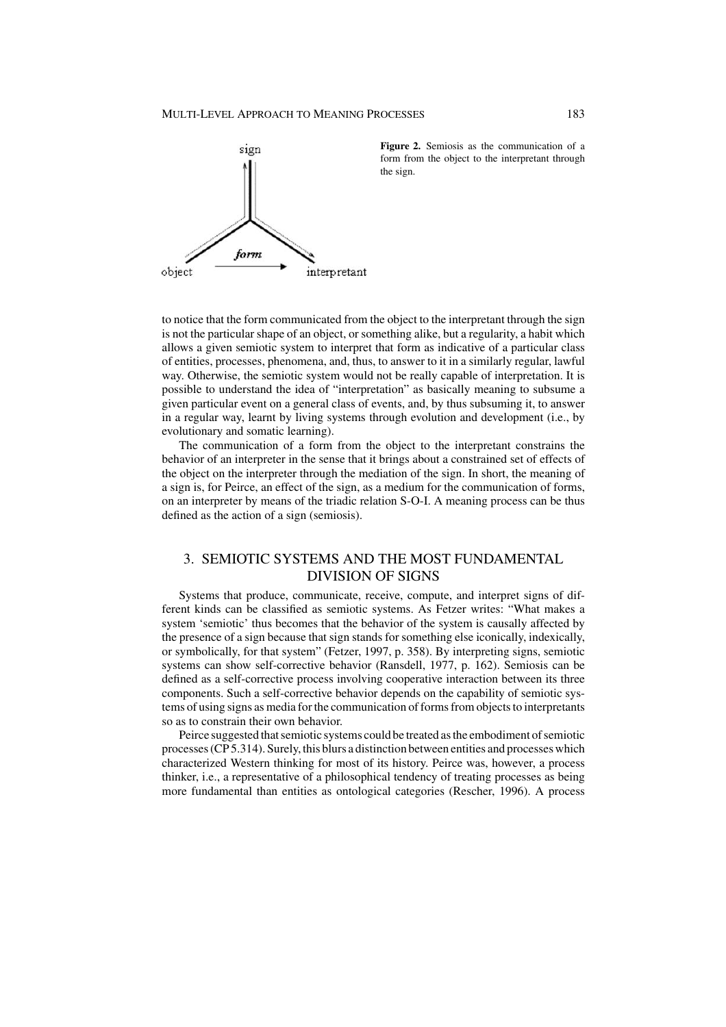

**Figure 2.** Semiosis as the communication of a form from the object to the interpretant through the sign.

to notice that the form communicated from the object to the interpretant through the sign is not the particular shape of an object, or something alike, but a regularity, a habit which allows a given semiotic system to interpret that form as indicative of a particular class of entities, processes, phenomena, and, thus, to answer to it in a similarly regular, lawful way. Otherwise, the semiotic system would not be really capable of interpretation. It is possible to understand the idea of "interpretation" as basically meaning to subsume a given particular event on a general class of events, and, by thus subsuming it, to answer in a regular way, learnt by living systems through evolution and development (i.e., by evolutionary and somatic learning).

The communication of a form from the object to the interpretant constrains the behavior of an interpreter in the sense that it brings about a constrained set of effects of the object on the interpreter through the mediation of the sign. In short, the meaning of a sign is, for Peirce, an effect of the sign, as a medium for the communication of forms, on an interpreter by means of the triadic relation S-O-I. A meaning process can be thus defined as the action of a sign (semiosis).

# 3. SEMIOTIC SYSTEMS AND THE MOST FUNDAMENTAL DIVISION OF SIGNS

Systems that produce, communicate, receive, compute, and interpret signs of different kinds can be classified as semiotic systems. As Fetzer writes: "What makes a system 'semiotic' thus becomes that the behavior of the system is causally affected by the presence of a sign because that sign stands for something else iconically, indexically, or symbolically, for that system" (Fetzer, 1997, p. 358). By interpreting signs, semiotic systems can show self-corrective behavior (Ransdell, 1977, p. 162). Semiosis can be defined as a self-corrective process involving cooperative interaction between its three components. Such a self-corrective behavior depends on the capability of semiotic systems of using signs as media for the communication of forms from objects to interpretants so as to constrain their own behavior.

Peirce suggested that semiotic systems could be treated as the embodiment of semiotic processes (CP 5.314). Surely, this blurs a distinction between entities and processes which characterized Western thinking for most of its history. Peirce was, however, a process thinker, i.e., a representative of a philosophical tendency of treating processes as being more fundamental than entities as ontological categories (Rescher, 1996). A process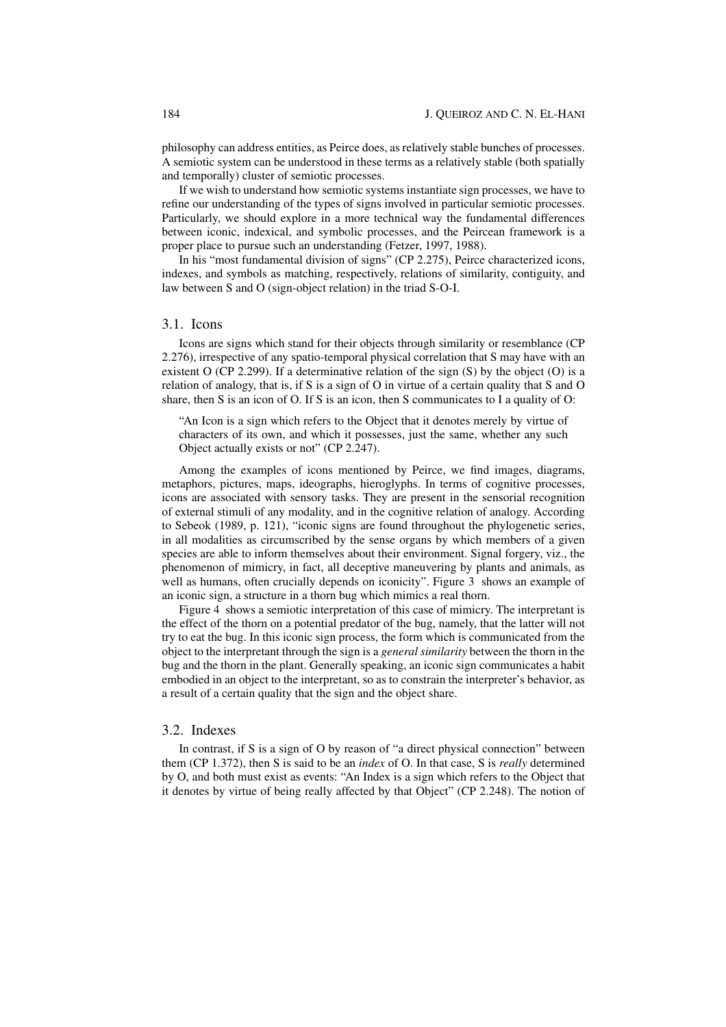philosophy can address entities, as Peirce does, as relatively stable bunches of processes. A semiotic system can be understood in these terms as a relatively stable (both spatially and temporally) cluster of semiotic processes.

If we wish to understand how semiotic systems instantiate sign processes, we have to refine our understanding of the types of signs involved in particular semiotic processes. Particularly, we should explore in a more technical way the fundamental differences between iconic, indexical, and symbolic processes, and the Peircean framework is a proper place to pursue such an understanding (Fetzer, 1997, 1988).

In his "most fundamental division of signs" (CP 2.275), Peirce characterized icons, indexes, and symbols as matching, respectively, relations of similarity, contiguity, and law between S and O (sign-object relation) in the triad S-O-I.

#### 3.1. Icons

Icons are signs which stand for their objects through similarity or resemblance (CP 2.276), irrespective of any spatio-temporal physical correlation that S may have with an existent O (CP 2.299). If a determinative relation of the sign  $(S)$  by the object  $(O)$  is a relation of analogy, that is, if S is a sign of O in virtue of a certain quality that S and O share, then S is an icon of O. If S is an icon, then S communicates to I a quality of O:

"An Icon is a sign which refers to the Object that it denotes merely by virtue of characters of its own, and which it possesses, just the same, whether any such Object actually exists or not" (CP 2.247).

Among the examples of icons mentioned by Peirce, we find images, diagrams, metaphors, pictures, maps, ideographs, hieroglyphs. In terms of cognitive processes, icons are associated with sensory tasks. They are present in the sensorial recognition of external stimuli of any modality, and in the cognitive relation of analogy. According to Sebeok (1989, p. 121), "iconic signs are found throughout the phylogenetic series, in all modalities as circumscribed by the sense organs by which members of a given species are able to inform themselves about their environment. Signal forgery, viz., the phenomenon of mimicry, in fact, all deceptive maneuvering by plants and animals, as well as humans, often crucially depends on iconicity". Figure 3 shows an example of an iconic sign, a structure in a thorn bug which mimics a real thorn.

Figure 4 shows a semiotic interpretation of this case of mimicry. The interpretant is the effect of the thorn on a potential predator of the bug, namely, that the latter will not try to eat the bug. In this iconic sign process, the form which is communicated from the object to the interpretant through the sign is a *general similarity* between the thorn in the bug and the thorn in the plant. Generally speaking, an iconic sign communicates a habit embodied in an object to the interpretant, so as to constrain the interpreter's behavior, as a result of a certain quality that the sign and the object share.

## 3.2. Indexes

In contrast, if S is a sign of O by reason of "a direct physical connection" between them (CP 1.372), then S is said to be an *index* of O. In that case, S is *really* determined by O, and both must exist as events: "An Index is a sign which refers to the Object that it denotes by virtue of being really affected by that Object" (CP 2.248). The notion of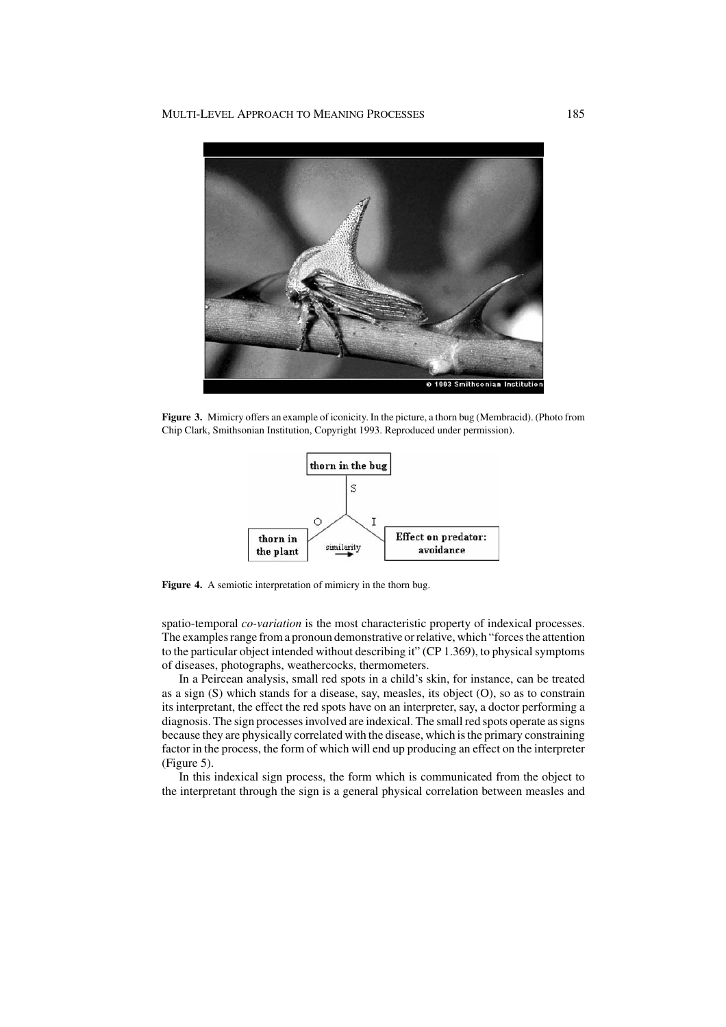MULTI-LEVEL APPROACH TO MEANING PROCESSES 185



**Figure 3.** Mimicry offers an example of iconicity. In the picture, a thorn bug (Membracid). (Photo from Chip Clark, Smithsonian Institution, Copyright 1993. Reproduced under permission).



**Figure 4.** A semiotic interpretation of mimicry in the thorn bug.

spatio-temporal *co-variation* is the most characteristic property of indexical processes. The examples range from a pronoun demonstrative or relative, which "forces the attention to the particular object intended without describing it" (CP 1.369), to physical symptoms of diseases, photographs, weathercocks, thermometers.

In a Peircean analysis, small red spots in a child's skin, for instance, can be treated as a sign (S) which stands for a disease, say, measles, its object (O), so as to constrain its interpretant, the effect the red spots have on an interpreter, say, a doctor performing a diagnosis. The sign processes involved are indexical. The small red spots operate as signs because they are physically correlated with the disease, which is the primary constraining factor in the process, the form of which will end up producing an effect on the interpreter (Figure 5).

In this indexical sign process, the form which is communicated from the object to the interpretant through the sign is a general physical correlation between measles and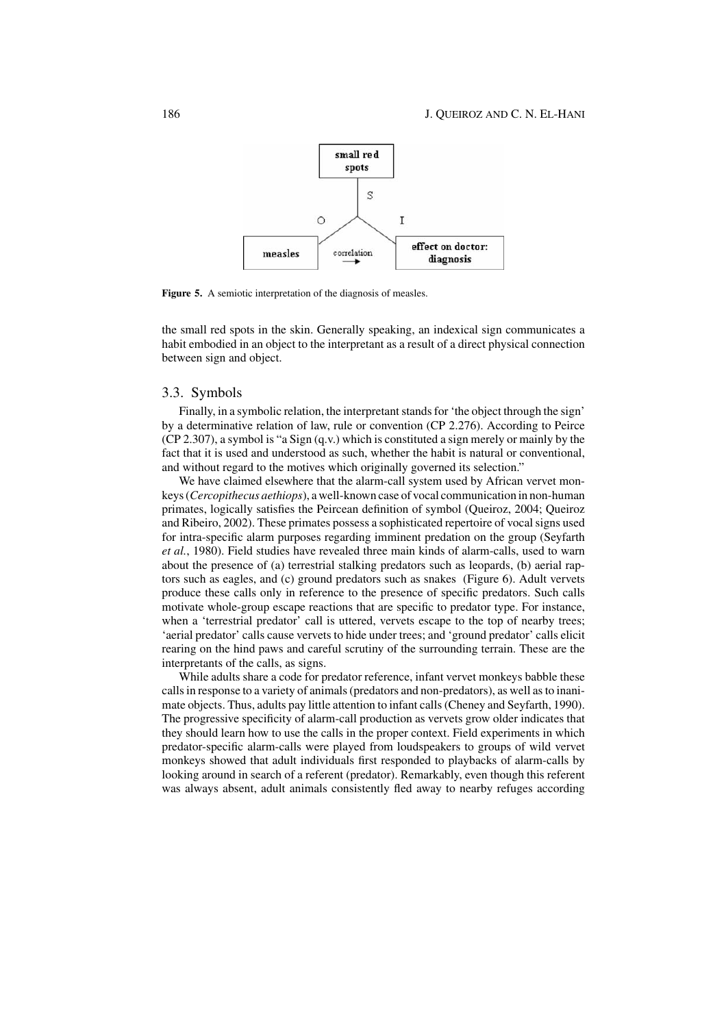

**Figure 5.** A semiotic interpretation of the diagnosis of measles.

the small red spots in the skin. Generally speaking, an indexical sign communicates a habit embodied in an object to the interpretant as a result of a direct physical connection between sign and object.

#### 3.3. Symbols

Finally, in a symbolic relation, the interpretant stands for 'the object through the sign' by a determinative relation of law, rule or convention (CP 2.276). According to Peirce (CP 2.307), a symbol is "a Sign (q.v.) which is constituted a sign merely or mainly by the fact that it is used and understood as such, whether the habit is natural or conventional, and without regard to the motives which originally governed its selection."

We have claimed elsewhere that the alarm-call system used by African vervet monkeys (*Cercopithecus aethiops*), a well-known case of vocal communication in non-human primates, logically satisfies the Peircean definition of symbol (Queiroz, 2004; Queiroz and Ribeiro, 2002). These primates possess a sophisticated repertoire of vocal signs used for intra-specific alarm purposes regarding imminent predation on the group (Seyfarth *et al.*, 1980). Field studies have revealed three main kinds of alarm-calls, used to warn about the presence of (a) terrestrial stalking predators such as leopards, (b) aerial raptors such as eagles, and (c) ground predators such as snakes (Figure 6). Adult vervets produce these calls only in reference to the presence of specific predators. Such calls motivate whole-group escape reactions that are specific to predator type. For instance, when a 'terrestrial predator' call is uttered, vervets escape to the top of nearby trees; 'aerial predator' calls cause vervets to hide under trees; and 'ground predator' calls elicit rearing on the hind paws and careful scrutiny of the surrounding terrain. These are the interpretants of the calls, as signs.

While adults share a code for predator reference, infant vervet monkeys babble these calls in response to a variety of animals (predators and non-predators), as well as to inanimate objects. Thus, adults pay little attention to infant calls (Cheney and Seyfarth, 1990). The progressive specificity of alarm-call production as vervets grow older indicates that they should learn how to use the calls in the proper context. Field experiments in which predator-specific alarm-calls were played from loudspeakers to groups of wild vervet monkeys showed that adult individuals first responded to playbacks of alarm-calls by looking around in search of a referent (predator). Remarkably, even though this referent was always absent, adult animals consistently fled away to nearby refuges according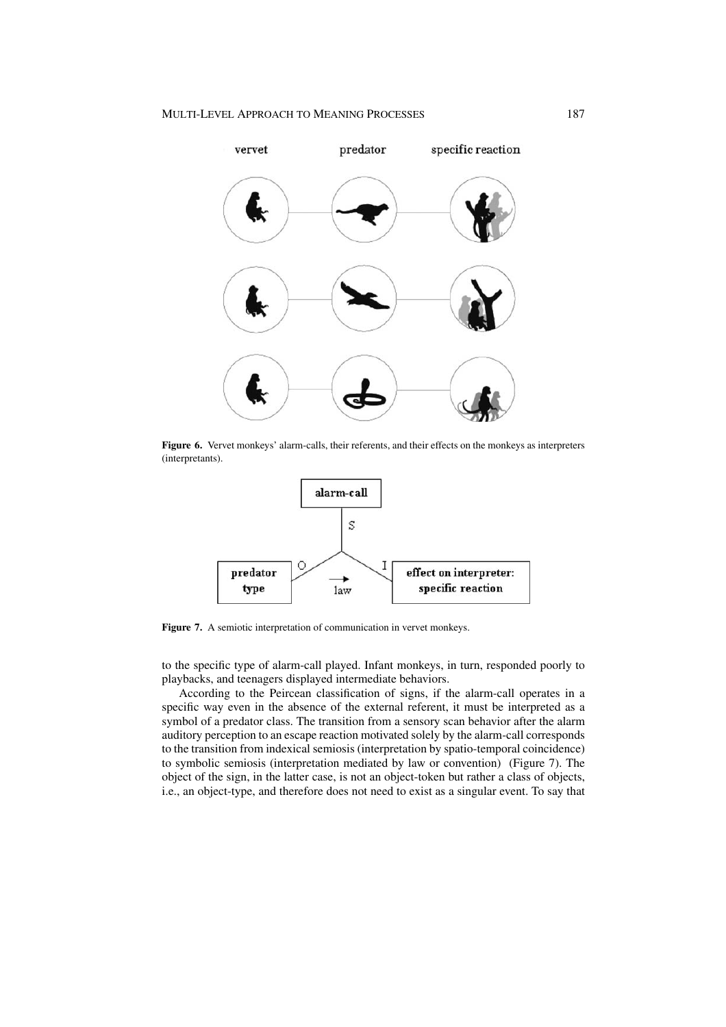

Figure 6. Vervet monkeys' alarm-calls, their referents, and their effects on the monkeys as interpreters (interpretants).



Figure 7. A semiotic interpretation of communication in vervet monkeys.

to the specific type of alarm-call played. Infant monkeys, in turn, responded poorly to playbacks, and teenagers displayed intermediate behaviors.

According to the Peircean classification of signs, if the alarm-call operates in a specific way even in the absence of the external referent, it must be interpreted as a symbol of a predator class. The transition from a sensory scan behavior after the alarm auditory perception to an escape reaction motivated solely by the alarm-call corresponds to the transition from indexical semiosis (interpretation by spatio-temporal coincidence) to symbolic semiosis (interpretation mediated by law or convention) (Figure 7). The object of the sign, in the latter case, is not an object-token but rather a class of objects, i.e., an object-type, and therefore does not need to exist as a singular event. To say that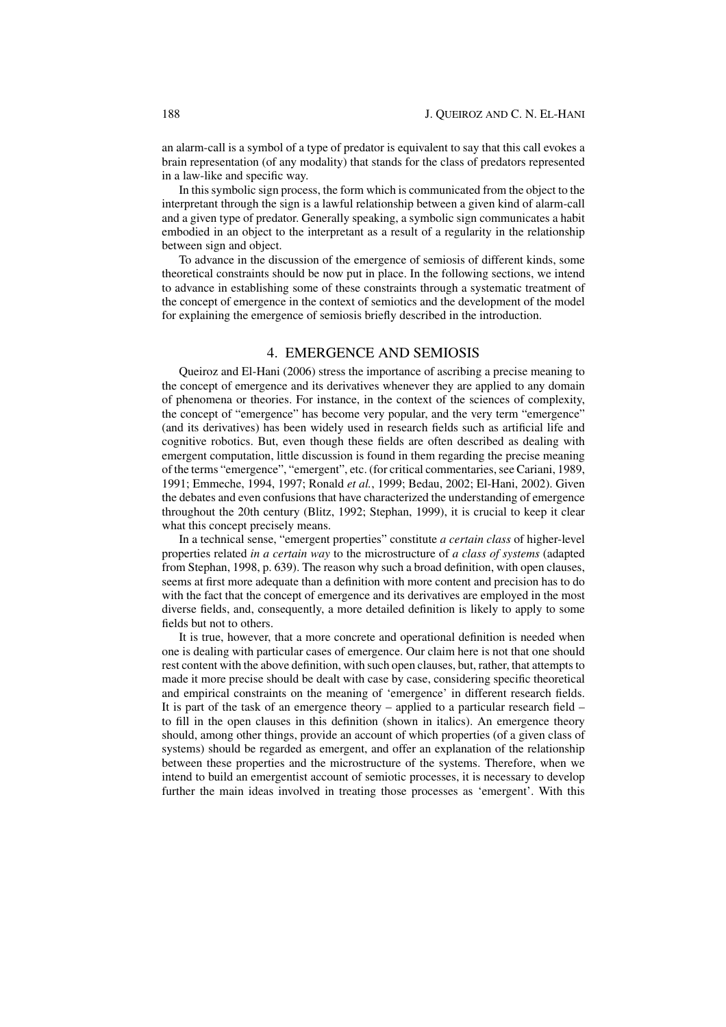an alarm-call is a symbol of a type of predator is equivalent to say that this call evokes a brain representation (of any modality) that stands for the class of predators represented in a law-like and specific way.

In this symbolic sign process, the form which is communicated from the object to the interpretant through the sign is a lawful relationship between a given kind of alarm-call and a given type of predator. Generally speaking, a symbolic sign communicates a habit embodied in an object to the interpretant as a result of a regularity in the relationship between sign and object.

To advance in the discussion of the emergence of semiosis of different kinds, some theoretical constraints should be now put in place. In the following sections, we intend to advance in establishing some of these constraints through a systematic treatment of the concept of emergence in the context of semiotics and the development of the model for explaining the emergence of semiosis briefly described in the introduction.

## 4. EMERGENCE AND SEMIOSIS

Queiroz and El-Hani (2006) stress the importance of ascribing a precise meaning to the concept of emergence and its derivatives whenever they are applied to any domain of phenomena or theories. For instance, in the context of the sciences of complexity, the concept of "emergence" has become very popular, and the very term "emergence" (and its derivatives) has been widely used in research fields such as artificial life and cognitive robotics. But, even though these fields are often described as dealing with emergent computation, little discussion is found in them regarding the precise meaning of the terms "emergence", "emergent", etc. (for critical commentaries, see Cariani, 1989, 1991; Emmeche, 1994, 1997; Ronald *et al.*, 1999; Bedau, 2002; El-Hani, 2002). Given the debates and even confusions that have characterized the understanding of emergence throughout the 20th century (Blitz, 1992; Stephan, 1999), it is crucial to keep it clear what this concept precisely means.

In a technical sense, "emergent properties" constitute *a certain class* of higher-level properties related *in a certain way* to the microstructure of *a class of systems* (adapted from Stephan, 1998, p. 639). The reason why such a broad definition, with open clauses, seems at first more adequate than a definition with more content and precision has to do with the fact that the concept of emergence and its derivatives are employed in the most diverse fields, and, consequently, a more detailed definition is likely to apply to some fields but not to others.

It is true, however, that a more concrete and operational definition is needed when one is dealing with particular cases of emergence. Our claim here is not that one should rest content with the above definition, with such open clauses, but, rather, that attempts to made it more precise should be dealt with case by case, considering specific theoretical and empirical constraints on the meaning of 'emergence' in different research fields. It is part of the task of an emergence theory – applied to a particular research field – to fill in the open clauses in this definition (shown in italics). An emergence theory should, among other things, provide an account of which properties (of a given class of systems) should be regarded as emergent, and offer an explanation of the relationship between these properties and the microstructure of the systems. Therefore, when we intend to build an emergentist account of semiotic processes, it is necessary to develop further the main ideas involved in treating those processes as 'emergent'. With this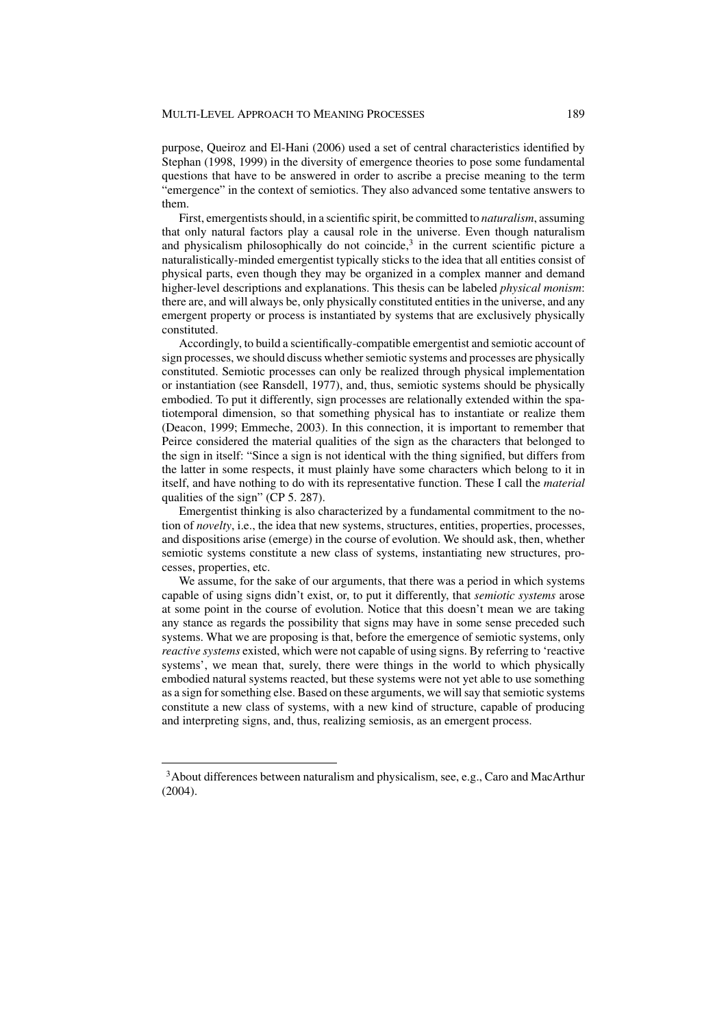#### MULTI-LEVEL APPROACH TO MEANING PROCESSES 189

purpose, Queiroz and El-Hani (2006) used a set of central characteristics identified by Stephan (1998, 1999) in the diversity of emergence theories to pose some fundamental questions that have to be answered in order to ascribe a precise meaning to the term "emergence" in the context of semiotics. They also advanced some tentative answers to them.

First, emergentists should, in a scientific spirit, be committed to *naturalism*, assuming that only natural factors play a causal role in the universe. Even though naturalism and physicalism philosophically do not coincide, $3$  in the current scientific picture a naturalistically-minded emergentist typically sticks to the idea that all entities consist of physical parts, even though they may be organized in a complex manner and demand higher-level descriptions and explanations. This thesis can be labeled *physical monism*: there are, and will always be, only physically constituted entities in the universe, and any emergent property or process is instantiated by systems that are exclusively physically constituted.

Accordingly, to build a scientifically-compatible emergentist and semiotic account of sign processes, we should discuss whether semiotic systems and processes are physically constituted. Semiotic processes can only be realized through physical implementation or instantiation (see Ransdell, 1977), and, thus, semiotic systems should be physically embodied. To put it differently, sign processes are relationally extended within the spatiotemporal dimension, so that something physical has to instantiate or realize them (Deacon, 1999; Emmeche, 2003). In this connection, it is important to remember that Peirce considered the material qualities of the sign as the characters that belonged to the sign in itself: "Since a sign is not identical with the thing signified, but differs from the latter in some respects, it must plainly have some characters which belong to it in itself, and have nothing to do with its representative function. These I call the *material* qualities of the sign" (CP 5. 287).

Emergentist thinking is also characterized by a fundamental commitment to the notion of *novelty*, i.e., the idea that new systems, structures, entities, properties, processes, and dispositions arise (emerge) in the course of evolution. We should ask, then, whether semiotic systems constitute a new class of systems, instantiating new structures, processes, properties, etc.

We assume, for the sake of our arguments, that there was a period in which systems capable of using signs didn't exist, or, to put it differently, that *semiotic systems* arose at some point in the course of evolution. Notice that this doesn't mean we are taking any stance as regards the possibility that signs may have in some sense preceded such systems. What we are proposing is that, before the emergence of semiotic systems, only *reactive systems* existed, which were not capable of using signs. By referring to 'reactive systems', we mean that, surely, there were things in the world to which physically embodied natural systems reacted, but these systems were not yet able to use something as a sign for something else. Based on these arguments, we will say that semiotic systems constitute a new class of systems, with a new kind of structure, capable of producing and interpreting signs, and, thus, realizing semiosis, as an emergent process.

<sup>&</sup>lt;sup>3</sup>About differences between naturalism and physicalism, see, e.g., Caro and MacArthur (2004).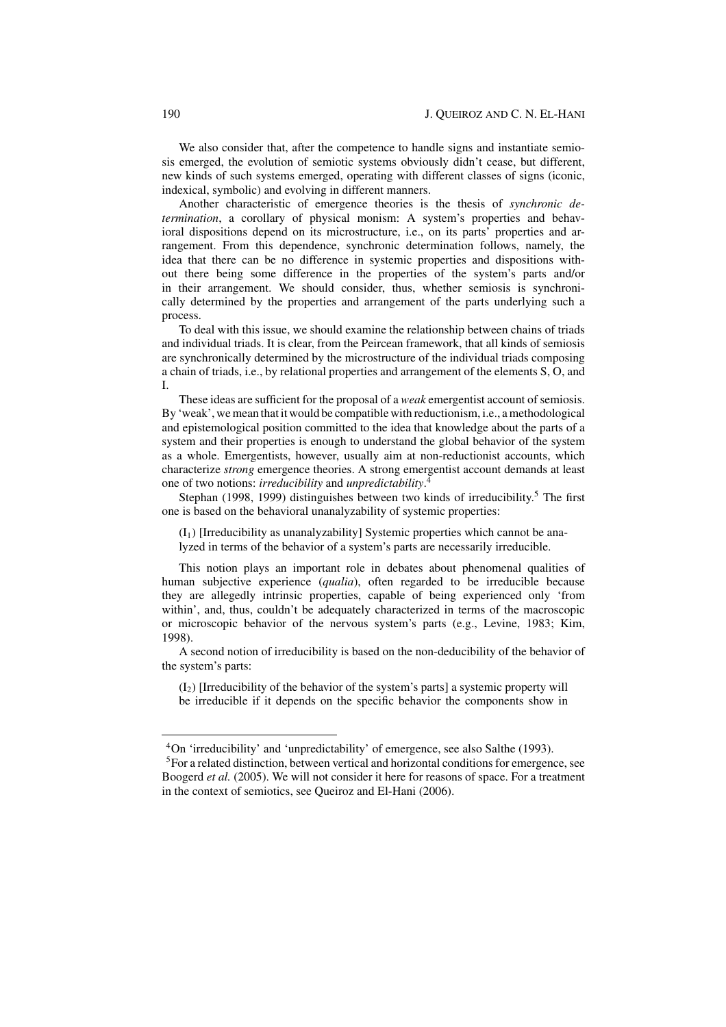We also consider that, after the competence to handle signs and instantiate semiosis emerged, the evolution of semiotic systems obviously didn't cease, but different, new kinds of such systems emerged, operating with different classes of signs (iconic, indexical, symbolic) and evolving in different manners.

Another characteristic of emergence theories is the thesis of *synchronic determination*, a corollary of physical monism: A system's properties and behavioral dispositions depend on its microstructure, i.e., on its parts' properties and arrangement. From this dependence, synchronic determination follows, namely, the idea that there can be no difference in systemic properties and dispositions without there being some difference in the properties of the system's parts and/or in their arrangement. We should consider, thus, whether semiosis is synchronically determined by the properties and arrangement of the parts underlying such a process.

To deal with this issue, we should examine the relationship between chains of triads and individual triads. It is clear, from the Peircean framework, that all kinds of semiosis are synchronically determined by the microstructure of the individual triads composing a chain of triads, i.e., by relational properties and arrangement of the elements S, O, and I.

These ideas are sufficient for the proposal of a *weak* emergentist account of semiosis. By 'weak', we mean that it would be compatible with reductionism, i.e., a methodological and epistemological position committed to the idea that knowledge about the parts of a system and their properties is enough to understand the global behavior of the system as a whole. Emergentists, however, usually aim at non-reductionist accounts, which characterize *strong* emergence theories. A strong emergentist account demands at least one of two notions: *irreducibility* and *unpredictability*. 4

Stephan (1998, 1999) distinguishes between two kinds of irreducibility.<sup>5</sup> The first one is based on the behavioral unanalyzability of systemic properties:

 $(I<sub>1</sub>)$  [Irreducibility as unanalyzability] Systemic properties which cannot be analyzed in terms of the behavior of a system's parts are necessarily irreducible.

This notion plays an important role in debates about phenomenal qualities of human subjective experience (*qualia*), often regarded to be irreducible because they are allegedly intrinsic properties, capable of being experienced only 'from within', and, thus, couldn't be adequately characterized in terms of the macroscopic or microscopic behavior of the nervous system's parts (e.g., Levine, 1983; Kim, 1998).

A second notion of irreducibility is based on the non-deducibility of the behavior of the system's parts:

 $(I<sub>2</sub>)$  [Irreducibility of the behavior of the system's parts] a systemic property will be irreducible if it depends on the specific behavior the components show in

<sup>4</sup>On 'irreducibility' and 'unpredictability' of emergence, see also Salthe (1993). <sup>5</sup>For a related distinction, between vertical and horizontal conditions for emergence, see Boogerd *et al.* (2005). We will not consider it here for reasons of space. For a treatment in the context of semiotics, see Queiroz and El-Hani (2006).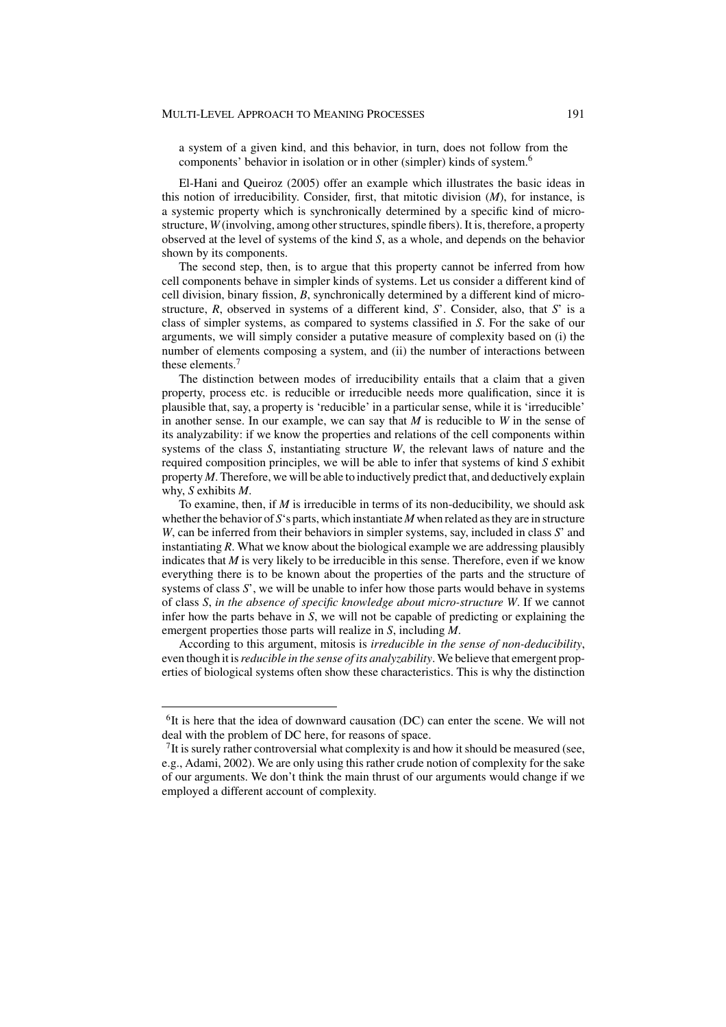#### MULTI-LEVEL APPROACH TO MEANING PROCESSES 191

a system of a given kind, and this behavior, in turn, does not follow from the components' behavior in isolation or in other (simpler) kinds of system.<sup>6</sup>

El-Hani and Queiroz (2005) offer an example which illustrates the basic ideas in this notion of irreducibility. Consider, first, that mitotic division (*M*), for instance, is a systemic property which is synchronically determined by a specific kind of microstructure, *W* (involving, among other structures, spindle fibers). It is, therefore, a property observed at the level of systems of the kind *S*, as a whole, and depends on the behavior shown by its components.

The second step, then, is to argue that this property cannot be inferred from how cell components behave in simpler kinds of systems. Let us consider a different kind of cell division, binary fission, *B*, synchronically determined by a different kind of microstructure, *R*, observed in systems of a different kind, *S*'. Consider, also, that *S*' is a class of simpler systems, as compared to systems classified in *S*. For the sake of our arguments, we will simply consider a putative measure of complexity based on (i) the number of elements composing a system, and (ii) the number of interactions between these elements.<sup>7</sup>

The distinction between modes of irreducibility entails that a claim that a given property, process etc. is reducible or irreducible needs more qualification, since it is plausible that, say, a property is 'reducible' in a particular sense, while it is 'irreducible' in another sense. In our example, we can say that *M* is reducible to *W* in the sense of its analyzability: if we know the properties and relations of the cell components within systems of the class *S*, instantiating structure *W*, the relevant laws of nature and the required composition principles, we will be able to infer that systems of kind *S* exhibit property *M*. Therefore, we will be able to inductively predict that, and deductively explain why, *S* exhibits *M*.

To examine, then, if *M* is irreducible in terms of its non-deducibility, we should ask whether the behavior of *S*'s parts, which instantiate *M* when related as they are in structure *W*, can be inferred from their behaviors in simpler systems, say, included in class *S*' and instantiating *R*. What we know about the biological example we are addressing plausibly indicates that *M* is very likely to be irreducible in this sense. Therefore, even if we know everything there is to be known about the properties of the parts and the structure of systems of class *S*', we will be unable to infer how those parts would behave in systems of class *S*, *in the absence of specific knowledge about micro-structure W*. If we cannot infer how the parts behave in *S*, we will not be capable of predicting or explaining the emergent properties those parts will realize in *S*, including *M*.

According to this argument, mitosis is *irreducible in the sense of non-deducibility*, even though it is*reducible in the sense of its analyzability*. We believe that emergent properties of biological systems often show these characteristics. This is why the distinction

 $6$ It is here that the idea of downward causation (DC) can enter the scene. We will not deal with the problem of DC here, for reasons of space.

<sup>7</sup>It is surely rather controversial what complexity is and how it should be measured (see, e.g., Adami, 2002). We are only using this rather crude notion of complexity for the sake of our arguments. We don't think the main thrust of our arguments would change if we employed a different account of complexity.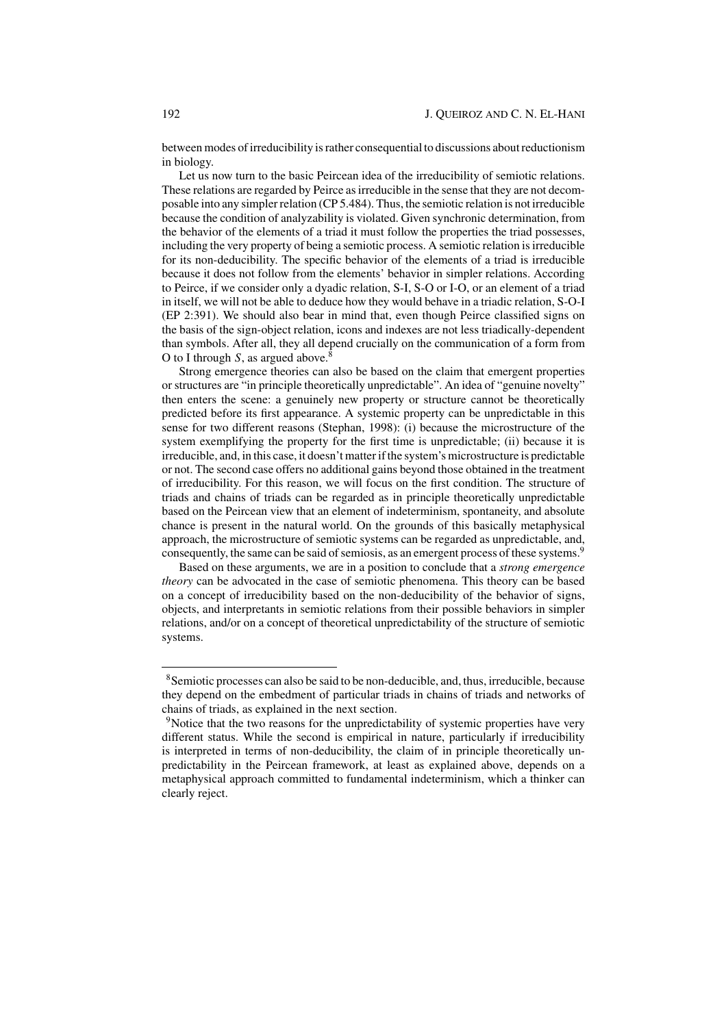between modes of irreducibility is rather consequential to discussions about reductionism in biology.

Let us now turn to the basic Peircean idea of the irreducibility of semiotic relations. These relations are regarded by Peirce as irreducible in the sense that they are not decomposable into any simpler relation (CP 5.484). Thus, the semiotic relation is not irreducible because the condition of analyzability is violated. Given synchronic determination, from the behavior of the elements of a triad it must follow the properties the triad possesses, including the very property of being a semiotic process. A semiotic relation is irreducible for its non-deducibility. The specific behavior of the elements of a triad is irreducible because it does not follow from the elements' behavior in simpler relations. According to Peirce, if we consider only a dyadic relation, S-I, S-O or I-O, or an element of a triad in itself, we will not be able to deduce how they would behave in a triadic relation, S-O-I (EP 2:391). We should also bear in mind that, even though Peirce classified signs on the basis of the sign-object relation, icons and indexes are not less triadically-dependent than symbols. After all, they all depend crucially on the communication of a form from O to I through *S*, as argued above.<sup>8</sup>

Strong emergence theories can also be based on the claim that emergent properties or structures are "in principle theoretically unpredictable". An idea of "genuine novelty" then enters the scene: a genuinely new property or structure cannot be theoretically predicted before its first appearance. A systemic property can be unpredictable in this sense for two different reasons (Stephan, 1998): (i) because the microstructure of the system exemplifying the property for the first time is unpredictable; (ii) because it is irreducible, and, in this case, it doesn't matter if the system's microstructure is predictable or not. The second case offers no additional gains beyond those obtained in the treatment of irreducibility. For this reason, we will focus on the first condition. The structure of triads and chains of triads can be regarded as in principle theoretically unpredictable based on the Peircean view that an element of indeterminism, spontaneity, and absolute chance is present in the natural world. On the grounds of this basically metaphysical approach, the microstructure of semiotic systems can be regarded as unpredictable, and, consequently, the same can be said of semiosis, as an emergent process of these systems.<sup>9</sup>

Based on these arguments, we are in a position to conclude that a *strong emergence theory* can be advocated in the case of semiotic phenomena. This theory can be based on a concept of irreducibility based on the non-deducibility of the behavior of signs, objects, and interpretants in semiotic relations from their possible behaviors in simpler relations, and/or on a concept of theoretical unpredictability of the structure of semiotic systems.

<sup>8</sup>Semiotic processes can also be said to be non-deducible, and, thus, irreducible, because they depend on the embedment of particular triads in chains of triads and networks of chains of triads, as explained in the next section.

<sup>&</sup>lt;sup>9</sup>Notice that the two reasons for the unpredictability of systemic properties have very different status. While the second is empirical in nature, particularly if irreducibility is interpreted in terms of non-deducibility, the claim of in principle theoretically unpredictability in the Peircean framework, at least as explained above, depends on a metaphysical approach committed to fundamental indeterminism, which a thinker can clearly reject.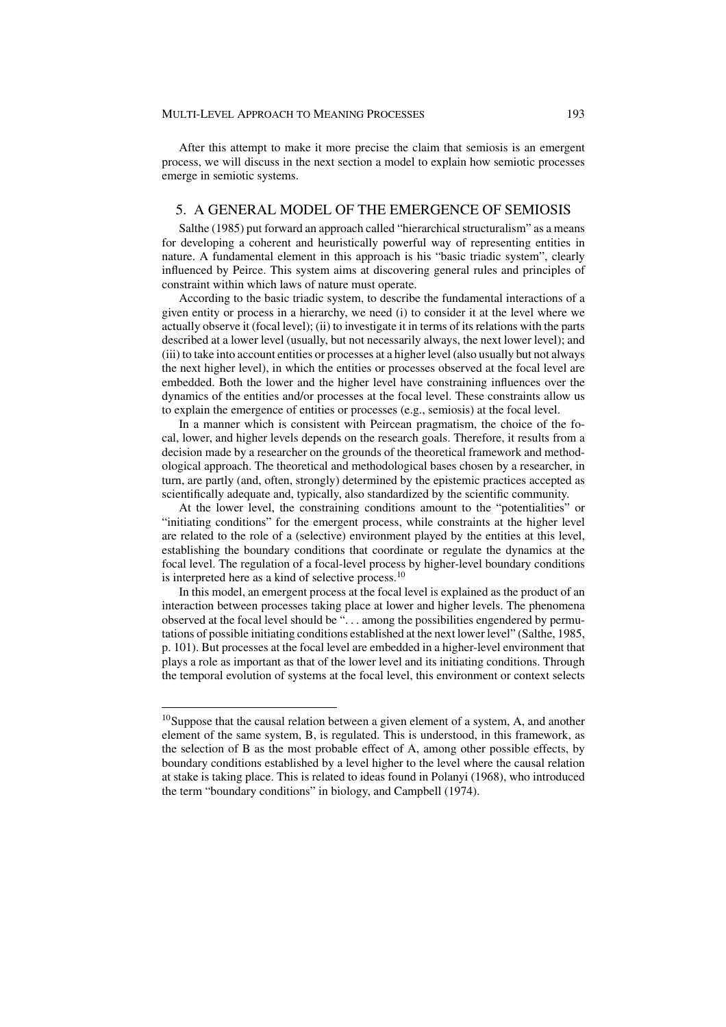After this attempt to make it more precise the claim that semiosis is an emergent process, we will discuss in the next section a model to explain how semiotic processes emerge in semiotic systems.

## 5. A GENERAL MODEL OF THE EMERGENCE OF SEMIOSIS

Salthe (1985) put forward an approach called "hierarchical structuralism" as a means for developing a coherent and heuristically powerful way of representing entities in nature. A fundamental element in this approach is his "basic triadic system", clearly influenced by Peirce. This system aims at discovering general rules and principles of constraint within which laws of nature must operate.

According to the basic triadic system, to describe the fundamental interactions of a given entity or process in a hierarchy, we need (i) to consider it at the level where we actually observe it (focal level); (ii) to investigate it in terms of its relations with the parts described at a lower level (usually, but not necessarily always, the next lower level); and (iii) to take into account entities or processes at a higher level (also usually but not always the next higher level), in which the entities or processes observed at the focal level are embedded. Both the lower and the higher level have constraining influences over the dynamics of the entities and/or processes at the focal level. These constraints allow us to explain the emergence of entities or processes (e.g., semiosis) at the focal level.

In a manner which is consistent with Peircean pragmatism, the choice of the focal, lower, and higher levels depends on the research goals. Therefore, it results from a decision made by a researcher on the grounds of the theoretical framework and methodological approach. The theoretical and methodological bases chosen by a researcher, in turn, are partly (and, often, strongly) determined by the epistemic practices accepted as scientifically adequate and, typically, also standardized by the scientific community.

At the lower level, the constraining conditions amount to the "potentialities" or "initiating conditions" for the emergent process, while constraints at the higher level are related to the role of a (selective) environment played by the entities at this level, establishing the boundary conditions that coordinate or regulate the dynamics at the focal level. The regulation of a focal-level process by higher-level boundary conditions is interpreted here as a kind of selective process.<sup>10</sup>

In this model, an emergent process at the focal level is explained as the product of an interaction between processes taking place at lower and higher levels. The phenomena observed at the focal level should be "... among the possibilities engendered by permutations of possible initiating conditions established at the next lower level" (Salthe, 1985, p. 101). But processes at the focal level are embedded in a higher-level environment that plays a role as important as that of the lower level and its initiating conditions. Through the temporal evolution of systems at the focal level, this environment or context selects

 $10$ Suppose that the causal relation between a given element of a system, A, and another element of the same system, B, is regulated. This is understood, in this framework, as the selection of B as the most probable effect of A, among other possible effects, by boundary conditions established by a level higher to the level where the causal relation at stake is taking place. This is related to ideas found in Polanyi (1968), who introduced the term "boundary conditions" in biology, and Campbell (1974).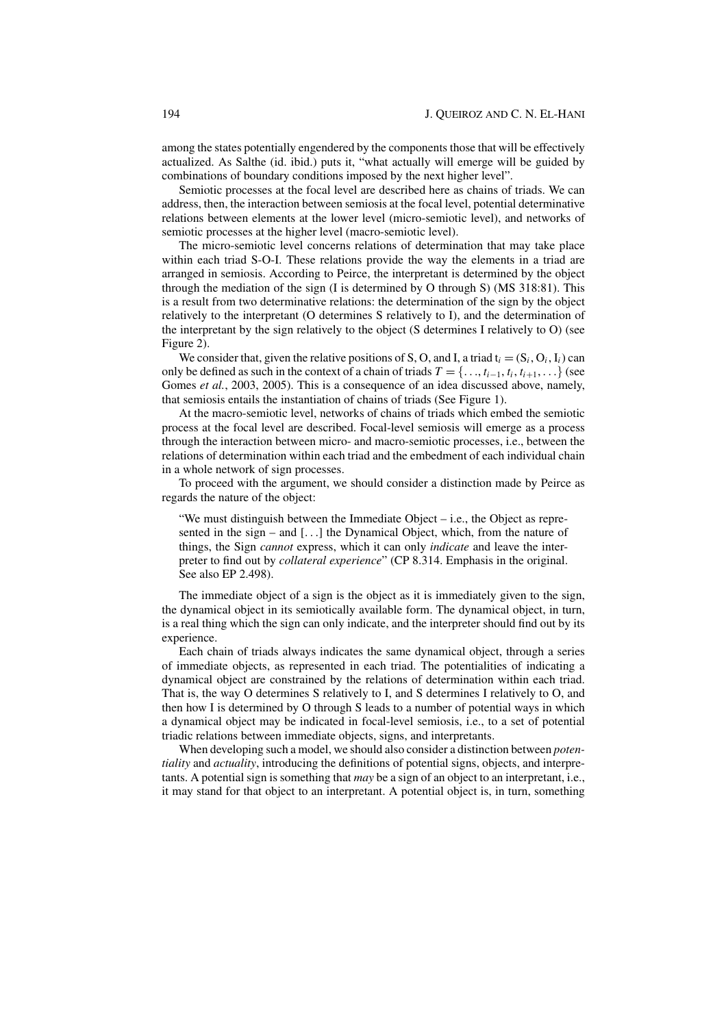among the states potentially engendered by the components those that will be effectively actualized. As Salthe (id. ibid.) puts it, "what actually will emerge will be guided by combinations of boundary conditions imposed by the next higher level".

Semiotic processes at the focal level are described here as chains of triads. We can address, then, the interaction between semiosis at the focal level, potential determinative relations between elements at the lower level (micro-semiotic level), and networks of semiotic processes at the higher level (macro-semiotic level).

The micro-semiotic level concerns relations of determination that may take place within each triad S-O-I. These relations provide the way the elements in a triad are arranged in semiosis. According to Peirce, the interpretant is determined by the object through the mediation of the sign (I is determined by O through S) (MS 318:81). This is a result from two determinative relations: the determination of the sign by the object relatively to the interpretant (O determines S relatively to I), and the determination of the interpretant by the sign relatively to the object (S determines I relatively to O) (see Figure 2).

We consider that, given the relative positions of S, O, and I, a triad  $t_i = (S_i, O_i, I_i)$  can only be defined as such in the context of a chain of triads  $T = \{..., t_{i-1}, t_i, t_{i+1}, ...\}$  (see Gomes *et al.*, 2003, 2005). This is a consequence of an idea discussed above, namely, that semiosis entails the instantiation of chains of triads (See Figure 1).

At the macro-semiotic level, networks of chains of triads which embed the semiotic process at the focal level are described. Focal-level semiosis will emerge as a process through the interaction between micro- and macro-semiotic processes, i.e., between the relations of determination within each triad and the embedment of each individual chain in a whole network of sign processes.

To proceed with the argument, we should consider a distinction made by Peirce as regards the nature of the object:

"We must distinguish between the Immediate Object – i.e., the Object as represented in the sign – and [...] the Dynamical Object, which, from the nature of things, the Sign *cannot* express, which it can only *indicate* and leave the interpreter to find out by *collateral experience*" (CP 8.314. Emphasis in the original. See also EP 2.498).

The immediate object of a sign is the object as it is immediately given to the sign, the dynamical object in its semiotically available form. The dynamical object, in turn, is a real thing which the sign can only indicate, and the interpreter should find out by its experience.

Each chain of triads always indicates the same dynamical object, through a series of immediate objects, as represented in each triad. The potentialities of indicating a dynamical object are constrained by the relations of determination within each triad. That is, the way O determines S relatively to I, and S determines I relatively to O, and then how I is determined by O through S leads to a number of potential ways in which a dynamical object may be indicated in focal-level semiosis, i.e., to a set of potential triadic relations between immediate objects, signs, and interpretants.

When developing such a model, we should also consider a distinction between *potentiality* and *actuality*, introducing the definitions of potential signs, objects, and interpretants. A potential sign is something that *may* be a sign of an object to an interpretant, i.e., it may stand for that object to an interpretant. A potential object is, in turn, something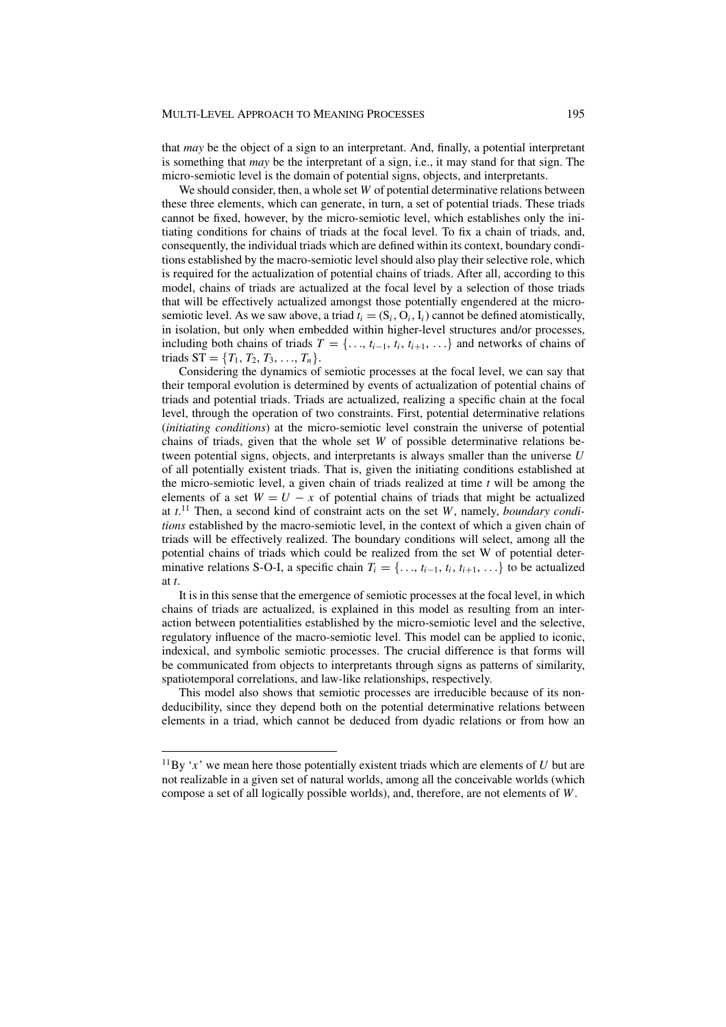#### MULTI-LEVEL APPROACH TO MEANING PROCESSES 195

that *may* be the object of a sign to an interpretant. And, finally, a potential interpretant is something that *may* be the interpretant of a sign, i.e., it may stand for that sign. The micro-semiotic level is the domain of potential signs, objects, and interpretants.

We should consider, then, a whole set *W* of potential determinative relations between these three elements, which can generate, in turn, a set of potential triads. These triads cannot be fixed, however, by the micro-semiotic level, which establishes only the initiating conditions for chains of triads at the focal level. To fix a chain of triads, and, consequently, the individual triads which are defined within its context, boundary conditions established by the macro-semiotic level should also play their selective role, which is required for the actualization of potential chains of triads. After all, according to this model, chains of triads are actualized at the focal level by a selection of those triads that will be effectively actualized amongst those potentially engendered at the microsemiotic level. As we saw above, a triad  $t_i = (S_i, O_i, I_i)$  cannot be defined atomistically, in isolation, but only when embedded within higher-level structures and/or processes, including both chains of triads  $T = \{..., t_{i-1}, t_i, t_{i+1}, ...\}$  and networks of chains of triads  $ST = \{T_1, T_2, T_3, \ldots, T_n\}.$ 

Considering the dynamics of semiotic processes at the focal level, we can say that their temporal evolution is determined by events of actualization of potential chains of triads and potential triads. Triads are actualized, realizing a specific chain at the focal level, through the operation of two constraints. First, potential determinative relations (*initiating conditions*) at the micro-semiotic level constrain the universe of potential chains of triads, given that the whole set *W* of possible determinative relations between potential signs, objects, and interpretants is always smaller than the universe *U* of all potentially existent triads. That is, given the initiating conditions established at the micro-semiotic level, a given chain of triads realized at time *t* will be among the elements of a set  $W = U - x$  of potential chains of triads that might be actualized at *t*. <sup>11</sup> Then, a second kind of constraint acts on the set *W*, namely, *boundary conditions* established by the macro-semiotic level, in the context of which a given chain of triads will be effectively realized. The boundary conditions will select, among all the potential chains of triads which could be realized from the set W of potential determinative relations S-O-I, a specific chain  $T_i = \{..., t_{i-1}, t_i, t_{i+1}, ...\}$  to be actualized at *t*.

It is in this sense that the emergence of semiotic processes at the focal level, in which chains of triads are actualized, is explained in this model as resulting from an interaction between potentialities established by the micro-semiotic level and the selective, regulatory influence of the macro-semiotic level. This model can be applied to iconic, indexical, and symbolic semiotic processes. The crucial difference is that forms will be communicated from objects to interpretants through signs as patterns of similarity, spatiotemporal correlations, and law-like relationships, respectively.

This model also shows that semiotic processes are irreducible because of its nondeducibility, since they depend both on the potential determinative relations between elements in a triad, which cannot be deduced from dyadic relations or from how an

 $11$ By '*x*' we mean here those potentially existent triads which are elements of *U* but are not realizable in a given set of natural worlds, among all the conceivable worlds (which compose a set of all logically possible worlds), and, therefore, are not elements of *W*.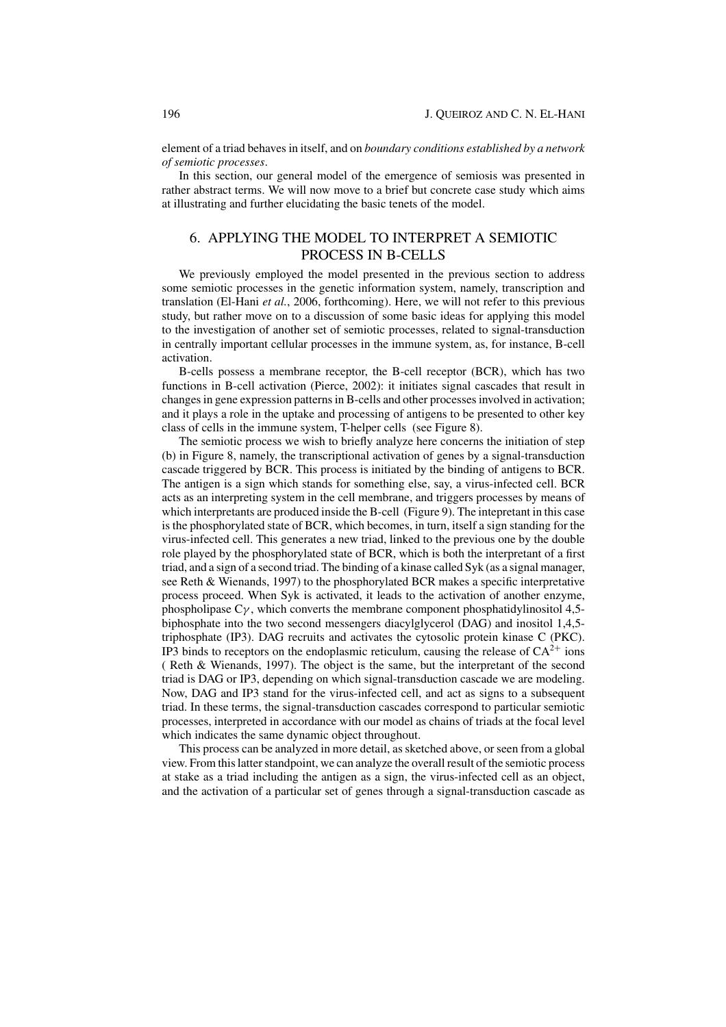element of a triad behaves in itself, and on *boundary conditions established by a network of semiotic processes*.

In this section, our general model of the emergence of semiosis was presented in rather abstract terms. We will now move to a brief but concrete case study which aims at illustrating and further elucidating the basic tenets of the model.

# 6. APPLYING THE MODEL TO INTERPRET A SEMIOTIC PROCESS IN B-CELLS

We previously employed the model presented in the previous section to address some semiotic processes in the genetic information system, namely, transcription and translation (El-Hani *et al.*, 2006, forthcoming). Here, we will not refer to this previous study, but rather move on to a discussion of some basic ideas for applying this model to the investigation of another set of semiotic processes, related to signal-transduction in centrally important cellular processes in the immune system, as, for instance, B-cell activation.

B-cells possess a membrane receptor, the B-cell receptor (BCR), which has two functions in B-cell activation (Pierce, 2002): it initiates signal cascades that result in changes in gene expression patterns in B-cells and other processes involved in activation; and it plays a role in the uptake and processing of antigens to be presented to other key class of cells in the immune system, T-helper cells (see Figure 8).

The semiotic process we wish to briefly analyze here concerns the initiation of step (b) in Figure 8, namely, the transcriptional activation of genes by a signal-transduction cascade triggered by BCR. This process is initiated by the binding of antigens to BCR. The antigen is a sign which stands for something else, say, a virus-infected cell. BCR acts as an interpreting system in the cell membrane, and triggers processes by means of which interpretants are produced inside the B-cell (Figure 9). The intepretant in this case is the phosphorylated state of BCR, which becomes, in turn, itself a sign standing for the virus-infected cell. This generates a new triad, linked to the previous one by the double role played by the phosphorylated state of BCR, which is both the interpretant of a first triad, and a sign of a second triad. The binding of a kinase called Syk (as a signal manager, see Reth & Wienands, 1997) to the phosphorylated BCR makes a specific interpretative process proceed. When Syk is activated, it leads to the activation of another enzyme, phospholipase  $C\gamma$ , which converts the membrane component phosphatidylinositol 4.5biphosphate into the two second messengers diacylglycerol (DAG) and inositol 1,4,5 triphosphate (IP3). DAG recruits and activates the cytosolic protein kinase C (PKC). IP3 binds to receptors on the endoplasmic reticulum, causing the release of  $CA^{2+}$  ions ( Reth & Wienands, 1997). The object is the same, but the interpretant of the second triad is DAG or IP3, depending on which signal-transduction cascade we are modeling. Now, DAG and IP3 stand for the virus-infected cell, and act as signs to a subsequent triad. In these terms, the signal-transduction cascades correspond to particular semiotic processes, interpreted in accordance with our model as chains of triads at the focal level which indicates the same dynamic object throughout.

This process can be analyzed in more detail, as sketched above, or seen from a global view. From this latter standpoint, we can analyze the overall result of the semiotic process at stake as a triad including the antigen as a sign, the virus-infected cell as an object, and the activation of a particular set of genes through a signal-transduction cascade as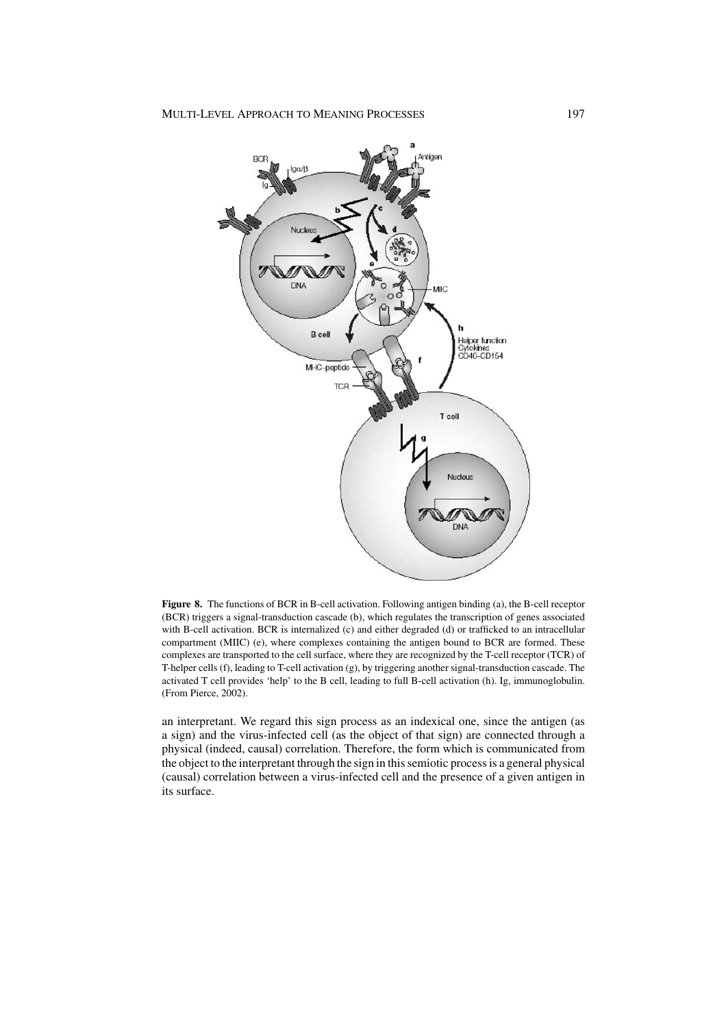

**Figure 8.** The functions of BCR in B-cell activation. Following antigen binding (a), the B-cell receptor (BCR) triggers a signal-transduction cascade (b), which regulates the transcription of genes associated with B-cell activation. BCR is internalized (c) and either degraded (d) or trafficked to an intracellular compartment (MIIC) (e), where complexes containing the antigen bound to BCR are formed. These complexes are transported to the cell surface, where they are recognized by the T-cell receptor (TCR) of T-helper cells (f), leading to T-cell activation (g), by triggering another signal-transduction cascade. The activated T cell provides 'help' to the B cell, leading to full B-cell activation (h). Ig, immunoglobulin. (From Pierce, 2002).

an interpretant. We regard this sign process as an indexical one, since the antigen (as a sign) and the virus-infected cell (as the object of that sign) are connected through a physical (indeed, causal) correlation. Therefore, the form which is communicated from the object to the interpretant through the sign in this semiotic process is a general physical (causal) correlation between a virus-infected cell and the presence of a given antigen in its surface.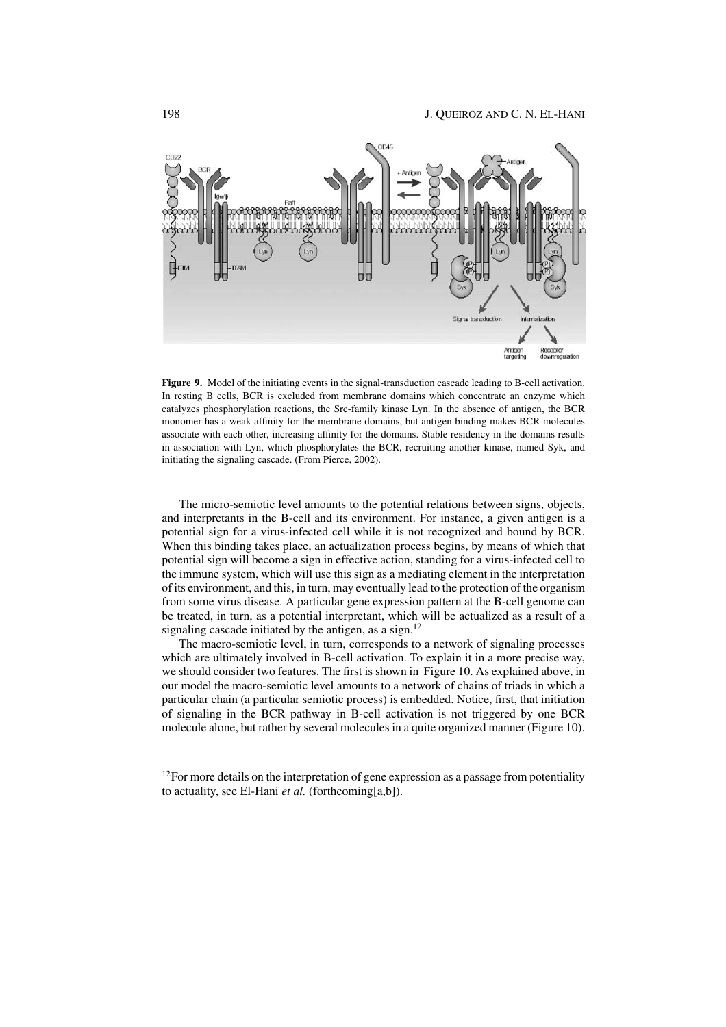

**Figure 9.** Model of the initiating events in the signal-transduction cascade leading to B-cell activation. In resting B cells, BCR is excluded from membrane domains which concentrate an enzyme which catalyzes phosphorylation reactions, the Src-family kinase Lyn. In the absence of antigen, the BCR monomer has a weak affinity for the membrane domains, but antigen binding makes BCR molecules associate with each other, increasing affinity for the domains. Stable residency in the domains results in association with Lyn, which phosphorylates the BCR, recruiting another kinase, named Syk, and initiating the signaling cascade. (From Pierce, 2002).

The micro-semiotic level amounts to the potential relations between signs, objects, and interpretants in the B-cell and its environment. For instance, a given antigen is a potential sign for a virus-infected cell while it is not recognized and bound by BCR. When this binding takes place, an actualization process begins, by means of which that potential sign will become a sign in effective action, standing for a virus-infected cell to the immune system, which will use this sign as a mediating element in the interpretation of its environment, and this, in turn, may eventually lead to the protection of the organism from some virus disease. A particular gene expression pattern at the B-cell genome can be treated, in turn, as a potential interpretant, which will be actualized as a result of a signaling cascade initiated by the antigen, as a sign.<sup>12</sup>

The macro-semiotic level, in turn, corresponds to a network of signaling processes which are ultimately involved in B-cell activation. To explain it in a more precise way, we should consider two features. The first is shown in Figure 10. As explained above, in our model the macro-semiotic level amounts to a network of chains of triads in which a particular chain (a particular semiotic process) is embedded. Notice, first, that initiation of signaling in the BCR pathway in B-cell activation is not triggered by one BCR molecule alone, but rather by several molecules in a quite organized manner (Figure 10).

 $12$  For more details on the interpretation of gene expression as a passage from potentiality to actuality, see El-Hani *et al.* (forthcoming[a,b]).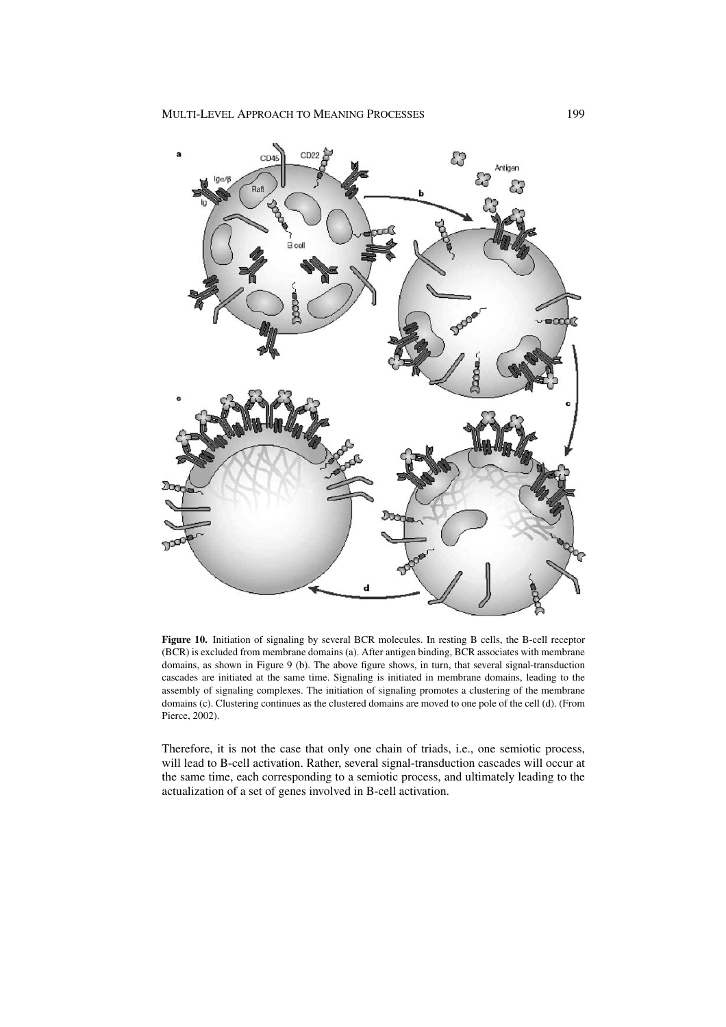

**Figure 10.** Initiation of signaling by several BCR molecules. In resting B cells, the B-cell receptor (BCR) is excluded from membrane domains (a). After antigen binding, BCR associates with membrane domains, as shown in Figure 9 (b). The above figure shows, in turn, that several signal-transduction cascades are initiated at the same time. Signaling is initiated in membrane domains, leading to the assembly of signaling complexes. The initiation of signaling promotes a clustering of the membrane domains (c). Clustering continues as the clustered domains are moved to one pole of the cell (d). (From Pierce, 2002).

Therefore, it is not the case that only one chain of triads, i.e., one semiotic process, will lead to B-cell activation. Rather, several signal-transduction cascades will occur at the same time, each corresponding to a semiotic process, and ultimately leading to the actualization of a set of genes involved in B-cell activation.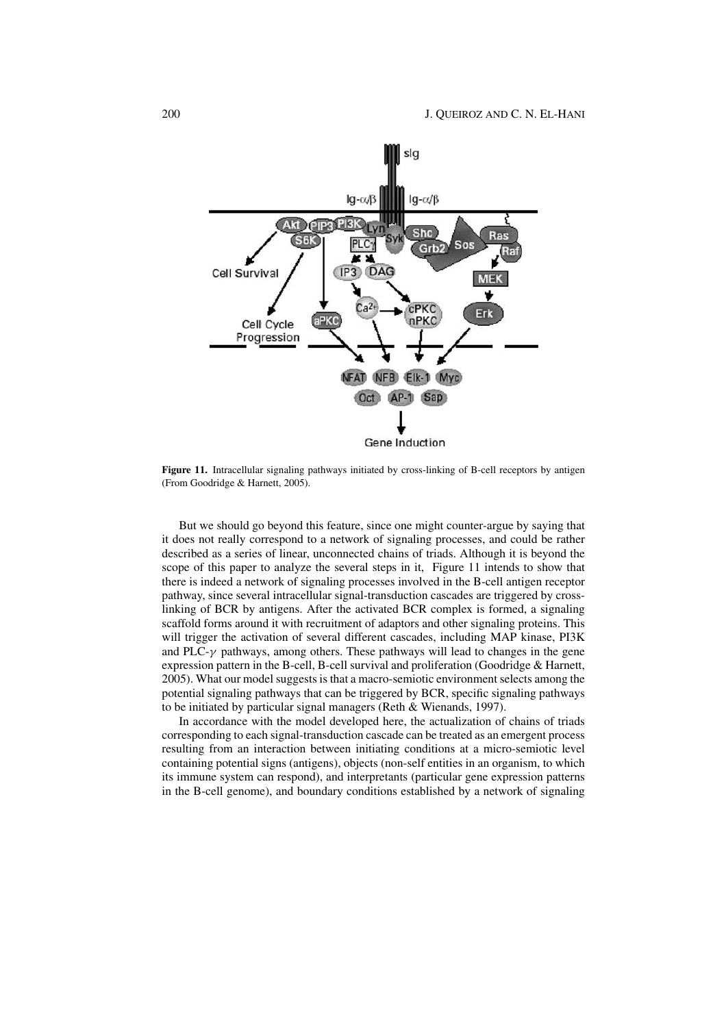

**Figure 11.** Intracellular signaling pathways initiated by cross-linking of B-cell receptors by antigen (From Goodridge & Harnett, 2005).

But we should go beyond this feature, since one might counter-argue by saying that it does not really correspond to a network of signaling processes, and could be rather described as a series of linear, unconnected chains of triads. Although it is beyond the scope of this paper to analyze the several steps in it, Figure 11 intends to show that there is indeed a network of signaling processes involved in the B-cell antigen receptor pathway, since several intracellular signal-transduction cascades are triggered by crosslinking of BCR by antigens. After the activated BCR complex is formed, a signaling scaffold forms around it with recruitment of adaptors and other signaling proteins. This will trigger the activation of several different cascades, including MAP kinase, PI3K and PLC- $\gamma$  pathways, among others. These pathways will lead to changes in the gene expression pattern in the B-cell, B-cell survival and proliferation (Goodridge & Harnett, 2005). What our model suggests is that a macro-semiotic environment selects among the potential signaling pathways that can be triggered by BCR, specific signaling pathways to be initiated by particular signal managers (Reth & Wienands, 1997).

In accordance with the model developed here, the actualization of chains of triads corresponding to each signal-transduction cascade can be treated as an emergent process resulting from an interaction between initiating conditions at a micro-semiotic level containing potential signs (antigens), objects (non-self entities in an organism, to which its immune system can respond), and interpretants (particular gene expression patterns in the B-cell genome), and boundary conditions established by a network of signaling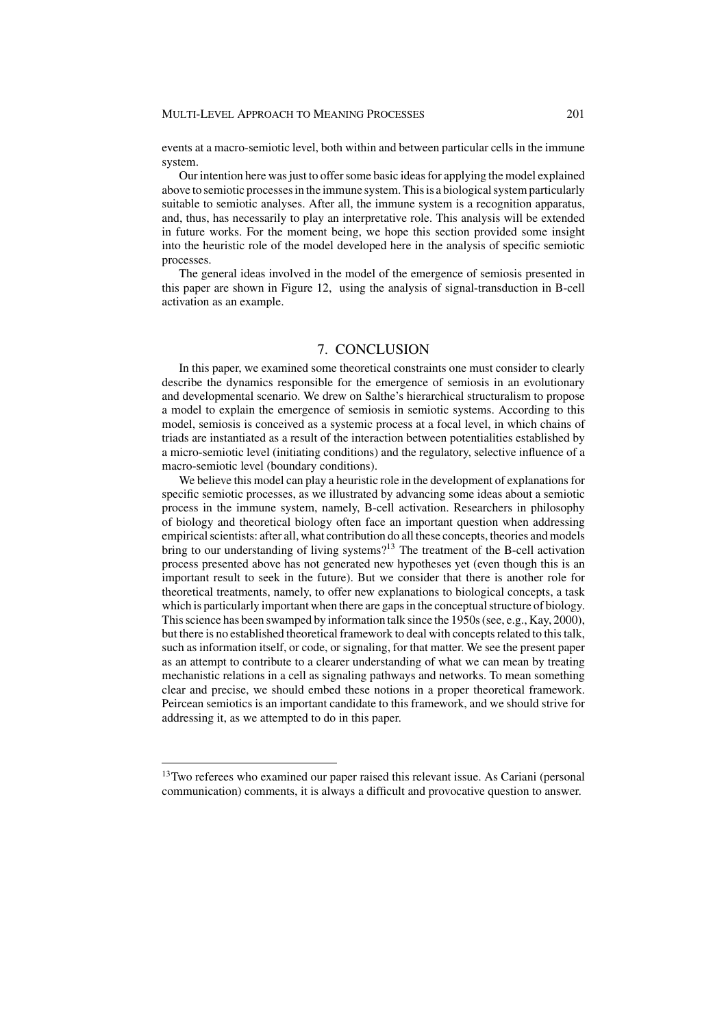#### MULTI-LEVEL APPROACH TO MEANING PROCESSES 201

events at a macro-semiotic level, both within and between particular cells in the immune system.

Our intention here was just to offer some basic ideas for applying the model explained above to semiotic processes in the immune system. This is a biological system particularly suitable to semiotic analyses. After all, the immune system is a recognition apparatus, and, thus, has necessarily to play an interpretative role. This analysis will be extended in future works. For the moment being, we hope this section provided some insight into the heuristic role of the model developed here in the analysis of specific semiotic processes.

The general ideas involved in the model of the emergence of semiosis presented in this paper are shown in Figure 12, using the analysis of signal-transduction in B-cell activation as an example.

#### 7. CONCLUSION

In this paper, we examined some theoretical constraints one must consider to clearly describe the dynamics responsible for the emergence of semiosis in an evolutionary and developmental scenario. We drew on Salthe's hierarchical structuralism to propose a model to explain the emergence of semiosis in semiotic systems. According to this model, semiosis is conceived as a systemic process at a focal level, in which chains of triads are instantiated as a result of the interaction between potentialities established by a micro-semiotic level (initiating conditions) and the regulatory, selective influence of a macro-semiotic level (boundary conditions).

We believe this model can play a heuristic role in the development of explanations for specific semiotic processes, as we illustrated by advancing some ideas about a semiotic process in the immune system, namely, B-cell activation. Researchers in philosophy of biology and theoretical biology often face an important question when addressing empirical scientists: after all, what contribution do all these concepts, theories and models bring to our understanding of living systems?<sup>13</sup> The treatment of the B-cell activation process presented above has not generated new hypotheses yet (even though this is an important result to seek in the future). But we consider that there is another role for theoretical treatments, namely, to offer new explanations to biological concepts, a task which is particularly important when there are gaps in the conceptual structure of biology. This science has been swamped by information talk since the 1950s (see, e.g., Kay, 2000), but there is no established theoretical framework to deal with concepts related to this talk, such as information itself, or code, or signaling, for that matter. We see the present paper as an attempt to contribute to a clearer understanding of what we can mean by treating mechanistic relations in a cell as signaling pathways and networks. To mean something clear and precise, we should embed these notions in a proper theoretical framework. Peircean semiotics is an important candidate to this framework, and we should strive for addressing it, as we attempted to do in this paper.

<sup>&</sup>lt;sup>13</sup>Two referees who examined our paper raised this relevant issue. As Cariani (personal communication) comments, it is always a difficult and provocative question to answer.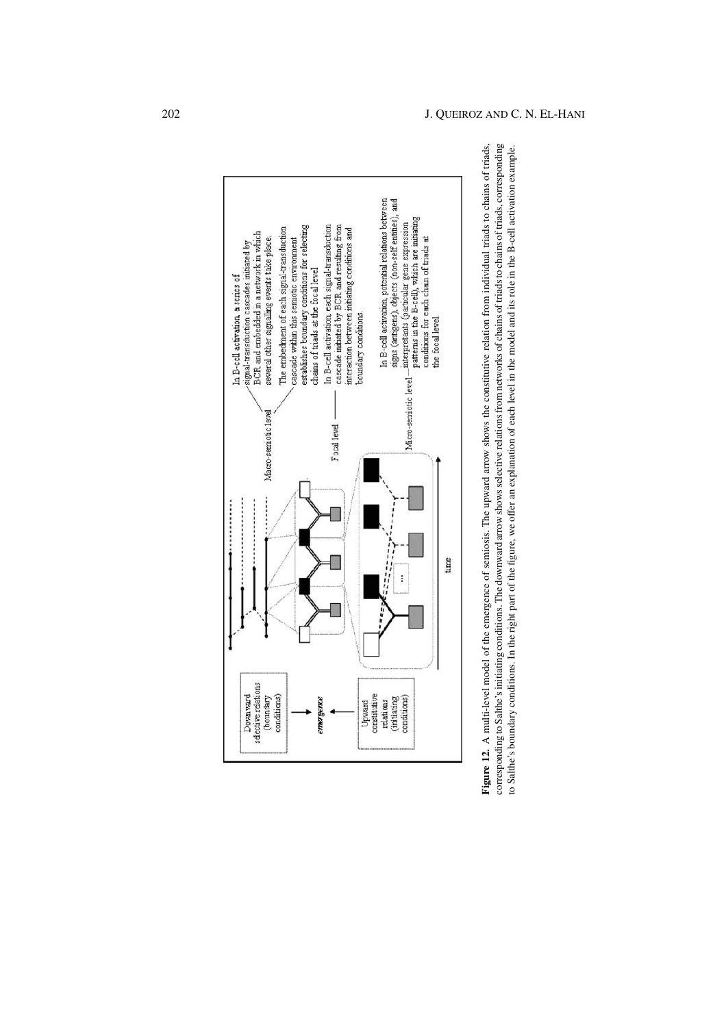

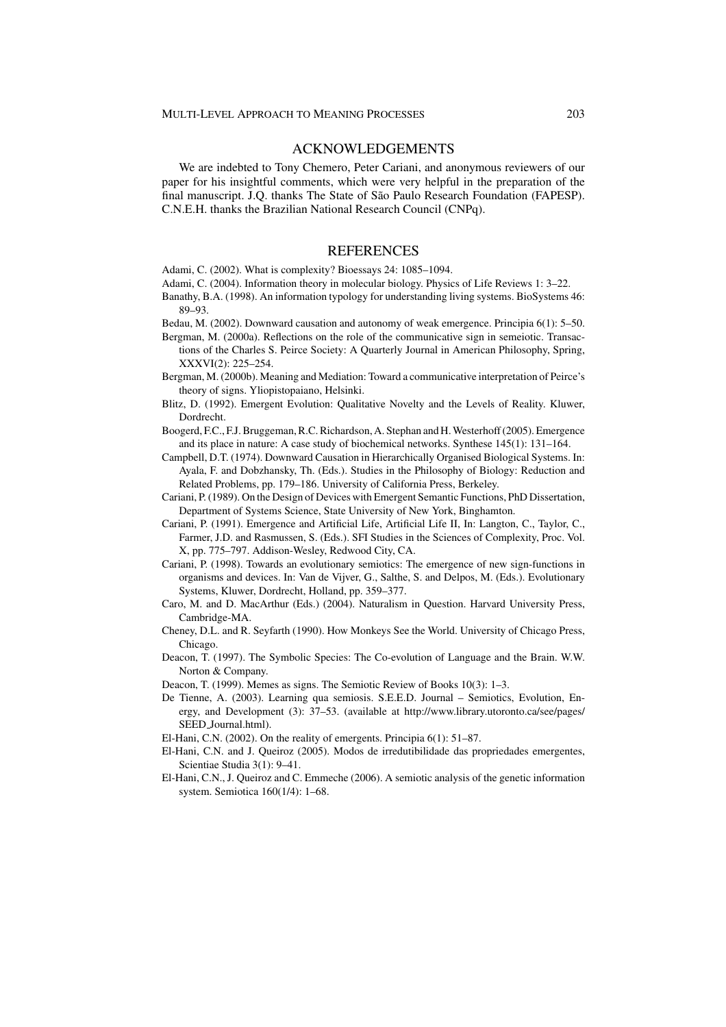# ACKNOWLEDGEMENTS

We are indebted to Tony Chemero, Peter Cariani, and anonymous reviewers of our paper for his insightful comments, which were very helpful in the preparation of the final manuscript. J.Q. thanks The State of São Paulo Research Foundation (FAPESP). C.N.E.H. thanks the Brazilian National Research Council (CNPq).

## **REFERENCES**

Adami, C. (2002). What is complexity? Bioessays 24: 1085–1094.

Adami, C. (2004). Information theory in molecular biology. Physics of Life Reviews 1: 3–22.

- Banathy, B.A. (1998). An information typology for understanding living systems. BioSystems 46: 89–93.
- Bedau, M. (2002). Downward causation and autonomy of weak emergence. Principia 6(1): 5–50.
- Bergman, M. (2000a). Reflections on the role of the communicative sign in semeiotic. Transactions of the Charles S. Peirce Society: A Quarterly Journal in American Philosophy, Spring, XXXVI(2): 225–254.
- Bergman, M. (2000b). Meaning and Mediation: Toward a communicative interpretation of Peirce's theory of signs. Yliopistopaiano, Helsinki.
- Blitz, D. (1992). Emergent Evolution: Qualitative Novelty and the Levels of Reality. Kluwer, Dordrecht.
- Boogerd, F.C., F.J. Bruggeman, R.C. Richardson, A. Stephan and H. Westerhoff (2005). Emergence and its place in nature: A case study of biochemical networks. Synthese 145(1): 131–164.
- Campbell, D.T. (1974). Downward Causation in Hierarchically Organised Biological Systems. In: Ayala, F. and Dobzhansky, Th. (Eds.). Studies in the Philosophy of Biology: Reduction and Related Problems, pp. 179–186. University of California Press, Berkeley.
- Cariani, P. (1989). On the Design of Devices with Emergent Semantic Functions, PhD Dissertation, Department of Systems Science, State University of New York, Binghamton.
- Cariani, P. (1991). Emergence and Artificial Life, Artificial Life II, In: Langton, C., Taylor, C., Farmer, J.D. and Rasmussen, S. (Eds.). SFI Studies in the Sciences of Complexity, Proc. Vol. X, pp. 775–797. Addison-Wesley, Redwood City, CA.
- Cariani, P. (1998). Towards an evolutionary semiotics: The emergence of new sign-functions in organisms and devices. In: Van de Vijver, G., Salthe, S. and Delpos, M. (Eds.). Evolutionary Systems, Kluwer, Dordrecht, Holland, pp. 359–377.
- Caro, M. and D. MacArthur (Eds.) (2004). Naturalism in Question. Harvard University Press, Cambridge-MA.
- Cheney, D.L. and R. Seyfarth (1990). How Monkeys See the World. University of Chicago Press, Chicago.
- Deacon, T. (1997). The Symbolic Species: The Co-evolution of Language and the Brain. W.W. Norton & Company.
- Deacon, T. (1999). Memes as signs. The Semiotic Review of Books 10(3): 1–3.
- De Tienne, A. (2003). Learning qua semiosis. S.E.E.D. Journal Semiotics, Evolution, Energy, and Development (3): 37–53. (available at http://www.library.utoronto.ca/see/pages/ SEED Journal.html).
- El-Hani, C.N. (2002). On the reality of emergents. Principia 6(1): 51–87.
- El-Hani, C.N. and J. Queiroz (2005). Modos de irredutibilidade das propriedades emergentes, Scientiae Studia 3(1): 9–41.
- El-Hani, C.N., J. Queiroz and C. Emmeche (2006). A semiotic analysis of the genetic information system. Semiotica 160(1/4): 1–68.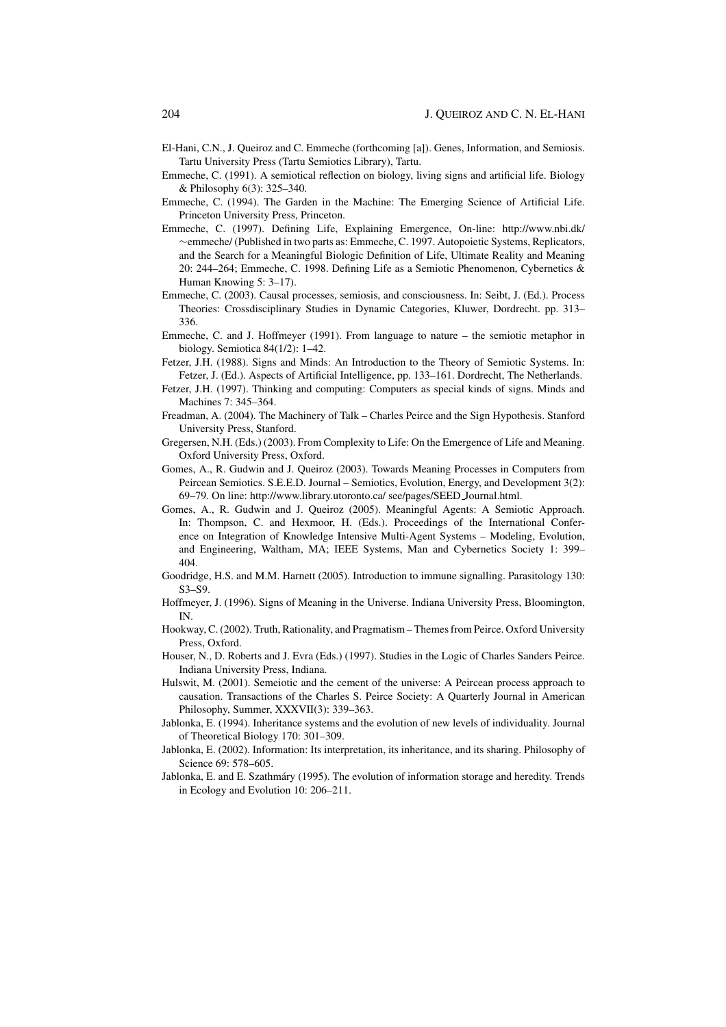- El-Hani, C.N., J. Queiroz and C. Emmeche (forthcoming [a]). Genes, Information, and Semiosis. Tartu University Press (Tartu Semiotics Library), Tartu.
- Emmeche, C. (1991). A semiotical reflection on biology, living signs and artificial life. Biology & Philosophy 6(3): 325–340.
- Emmeche, C. (1994). The Garden in the Machine: The Emerging Science of Artificial Life. Princeton University Press, Princeton.
- Emmeche, C. (1997). Defining Life, Explaining Emergence, On-line: http://www.nbi.dk/ ∼emmeche/ (Published in two parts as: Emmeche, C. 1997. Autopoietic Systems, Replicators, and the Search for a Meaningful Biologic Definition of Life, Ultimate Reality and Meaning 20: 244–264; Emmeche, C. 1998. Defining Life as a Semiotic Phenomenon, Cybernetics & Human Knowing 5: 3–17).
- Emmeche, C. (2003). Causal processes, semiosis, and consciousness. In: Seibt, J. (Ed.). Process Theories: Crossdisciplinary Studies in Dynamic Categories, Kluwer, Dordrecht. pp. 313– 336.
- Emmeche, C. and J. Hoffmeyer (1991). From language to nature the semiotic metaphor in biology. Semiotica 84(1/2): 1–42.
- Fetzer, J.H. (1988). Signs and Minds: An Introduction to the Theory of Semiotic Systems. In: Fetzer, J. (Ed.). Aspects of Artificial Intelligence, pp. 133–161. Dordrecht, The Netherlands.
- Fetzer, J.H. (1997). Thinking and computing: Computers as special kinds of signs. Minds and Machines 7: 345–364.
- Freadman, A. (2004). The Machinery of Talk Charles Peirce and the Sign Hypothesis. Stanford University Press, Stanford.
- Gregersen, N.H. (Eds.) (2003). From Complexity to Life: On the Emergence of Life and Meaning. Oxford University Press, Oxford.
- Gomes, A., R. Gudwin and J. Queiroz (2003). Towards Meaning Processes in Computers from Peircean Semiotics. S.E.E.D. Journal – Semiotics, Evolution, Energy, and Development 3(2): 69–79. On line: http://www.library.utoronto.ca/ see/pages/SEED Journal.html.
- Gomes, A., R. Gudwin and J. Queiroz (2005). Meaningful Agents: A Semiotic Approach. In: Thompson, C. and Hexmoor, H. (Eds.). Proceedings of the International Conference on Integration of Knowledge Intensive Multi-Agent Systems – Modeling, Evolution, and Engineering, Waltham, MA; IEEE Systems, Man and Cybernetics Society 1: 399– 404.
- Goodridge, H.S. and M.M. Harnett (2005). Introduction to immune signalling. Parasitology 130: S3–S9.
- Hoffmeyer, J. (1996). Signs of Meaning in the Universe. Indiana University Press, Bloomington, IN.
- Hookway, C. (2002). Truth, Rationality, and Pragmatism Themes from Peirce. Oxford University Press, Oxford.
- Houser, N., D. Roberts and J. Evra (Eds.) (1997). Studies in the Logic of Charles Sanders Peirce. Indiana University Press, Indiana.
- Hulswit, M. (2001). Semeiotic and the cement of the universe: A Peircean process approach to causation. Transactions of the Charles S. Peirce Society: A Quarterly Journal in American Philosophy, Summer, XXXVII(3): 339–363.
- Jablonka, E. (1994). Inheritance systems and the evolution of new levels of individuality. Journal of Theoretical Biology 170: 301–309.
- Jablonka, E. (2002). Information: Its interpretation, its inheritance, and its sharing. Philosophy of Science 69: 578–605.
- Jablonka, E. and E. Szathmáry (1995). The evolution of information storage and heredity. Trends in Ecology and Evolution 10: 206–211.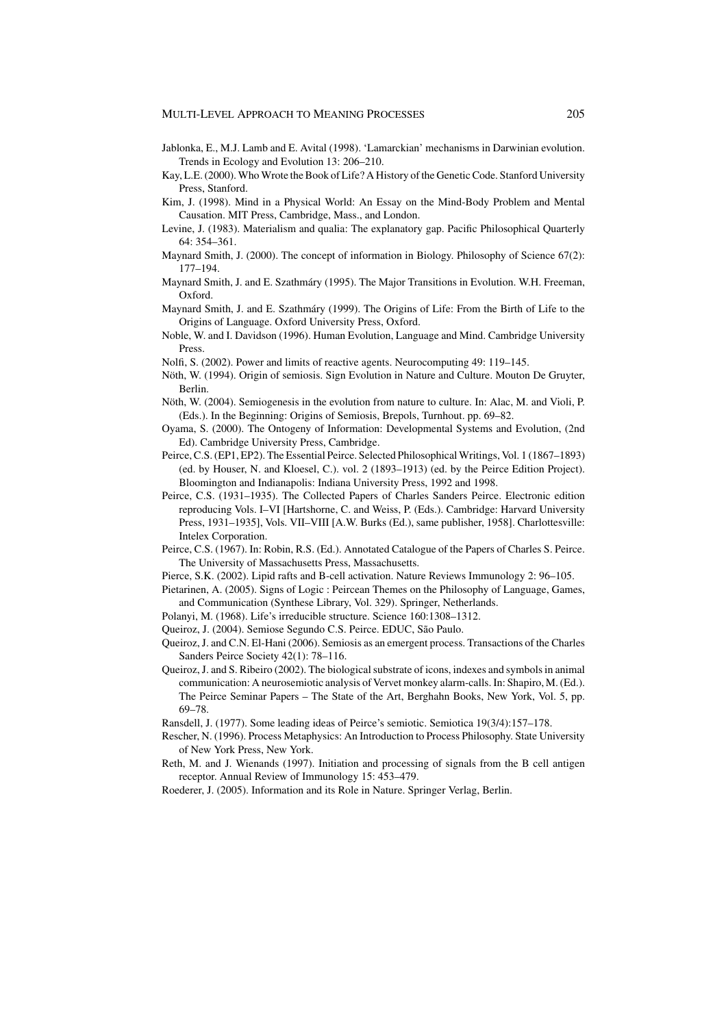- Jablonka, E., M.J. Lamb and E. Avital (1998). 'Lamarckian' mechanisms in Darwinian evolution. Trends in Ecology and Evolution 13: 206–210.
- Kay, L.E. (2000). Who Wrote the Book of Life? A History of the Genetic Code. Stanford University Press, Stanford.
- Kim, J. (1998). Mind in a Physical World: An Essay on the Mind-Body Problem and Mental Causation. MIT Press, Cambridge, Mass., and London.
- Levine, J. (1983). Materialism and qualia: The explanatory gap. Pacific Philosophical Quarterly 64: 354–361.
- Maynard Smith, J. (2000). The concept of information in Biology. Philosophy of Science 67(2): 177–194.
- Maynard Smith, J. and E. Szathm´ary (1995). The Major Transitions in Evolution. W.H. Freeman, Oxford.
- Maynard Smith, J. and E. Szathmáry (1999). The Origins of Life: From the Birth of Life to the Origins of Language. Oxford University Press, Oxford.
- Noble, W. and I. Davidson (1996). Human Evolution, Language and Mind. Cambridge University Press.
- Nolfi, S. (2002). Power and limits of reactive agents. Neurocomputing 49: 119–145.
- Nöth, W. (1994). Origin of semiosis. Sign Evolution in Nature and Culture. Mouton De Gruyter, Berlin.
- Nöth, W. (2004). Semiogenesis in the evolution from nature to culture. In: Alac, M. and Violi, P. (Eds.). In the Beginning: Origins of Semiosis, Brepols, Turnhout. pp. 69–82.
- Oyama, S. (2000). The Ontogeny of Information: Developmental Systems and Evolution, (2nd Ed). Cambridge University Press, Cambridge.
- Peirce, C.S. (EP1, EP2). The Essential Peirce. Selected Philosophical Writings, Vol. 1 (1867–1893) (ed. by Houser, N. and Kloesel, C.). vol. 2 (1893–1913) (ed. by the Peirce Edition Project). Bloomington and Indianapolis: Indiana University Press, 1992 and 1998.
- Peirce, C.S. (1931–1935). The Collected Papers of Charles Sanders Peirce. Electronic edition reproducing Vols. I–VI [Hartshorne, C. and Weiss, P. (Eds.). Cambridge: Harvard University Press, 1931–1935], Vols. VII–VIII [A.W. Burks (Ed.), same publisher, 1958]. Charlottesville: Intelex Corporation.
- Peirce, C.S. (1967). In: Robin, R.S. (Ed.). Annotated Catalogue of the Papers of Charles S. Peirce. The University of Massachusetts Press, Massachusetts.
- Pierce, S.K. (2002). Lipid rafts and B-cell activation. Nature Reviews Immunology 2: 96–105.
- Pietarinen, A. (2005). Signs of Logic : Peircean Themes on the Philosophy of Language, Games, and Communication (Synthese Library, Vol. 329). Springer, Netherlands.
- Polanyi, M. (1968). Life's irreducible structure. Science 160:1308–1312.
- Queiroz, J. (2004). Semiose Segundo C.S. Peirce. EDUC, São Paulo.
- Queiroz, J. and C.N. El-Hani (2006). Semiosis as an emergent process. Transactions of the Charles Sanders Peirce Society 42(1): 78–116.
- Queiroz, J. and S. Ribeiro (2002). The biological substrate of icons, indexes and symbols in animal communication: A neurosemiotic analysis of Vervet monkey alarm-calls. In: Shapiro, M. (Ed.). The Peirce Seminar Papers – The State of the Art, Berghahn Books, New York, Vol. 5, pp. 69–78.

Ransdell, J. (1977). Some leading ideas of Peirce's semiotic. Semiotica 19(3/4):157–178.

- Rescher, N. (1996). Process Metaphysics: An Introduction to Process Philosophy. State University of New York Press, New York.
- Reth, M. and J. Wienands (1997). Initiation and processing of signals from the B cell antigen receptor. Annual Review of Immunology 15: 453–479.
- Roederer, J. (2005). Information and its Role in Nature. Springer Verlag, Berlin.